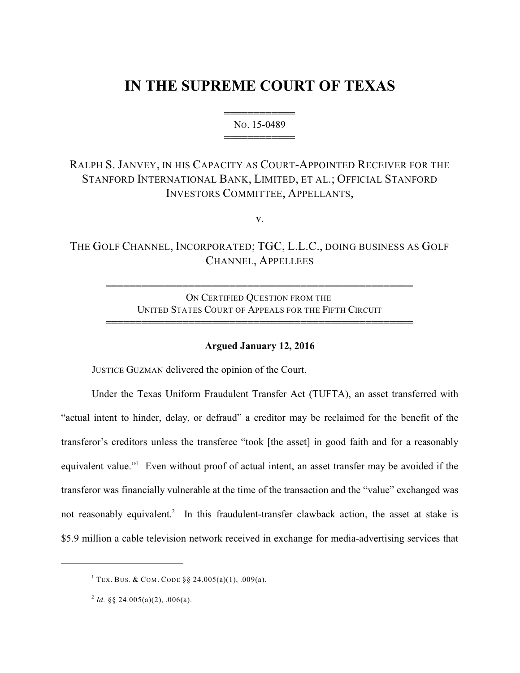# **IN THE SUPREME COURT OF TEXAS**

444444444444 NO. 15-0489 444444444444

## RALPH S. JANVEY, IN HIS CAPACITY AS COURT-APPOINTED RECEIVER FOR THE STANFORD INTERNATIONAL BANK, LIMITED, ET AL.; OFFICIAL STANFORD INVESTORS COMMITTEE, APPELLANTS,

v.

THE GOLF CHANNEL, INCORPORATED; TGC, L.L.C., DOING BUSINESS AS GOLF CHANNEL, APPELLEES

> ON CERTIFIED QUESTION FROM THE UNITED STATES COURT OF APPEALS FOR THE FIFTH CIRCUIT

4444444444444444444444444444444444444444444444444444

4444444444444444444444444444444444444444444444444444

#### **Argued January 12, 2016**

JUSTICE GUZMAN delivered the opinion of the Court.

Under the Texas Uniform Fraudulent Transfer Act (TUFTA), an asset transferred with "actual intent to hinder, delay, or defraud" a creditor may be reclaimed for the benefit of the transferor's creditors unless the transferee "took [the asset] in good faith and for a reasonably equivalent value." Even without proof of actual intent, an asset transfer may be avoided if the transferor was financially vulnerable at the time of the transaction and the "value" exchanged was not reasonably equivalent.<sup>2</sup> In this fraudulent-transfer clawback action, the asset at stake is \$5.9 million a cable television network received in exchange for media-advertising services that

<sup>&</sup>lt;sup>1</sup> TEX. BUS. & COM. CODE  $\S$ § 24.005(a)(1), .009(a).

<sup>&</sup>lt;sup>2</sup> Id. §§ 24.005(a)(2), .006(a).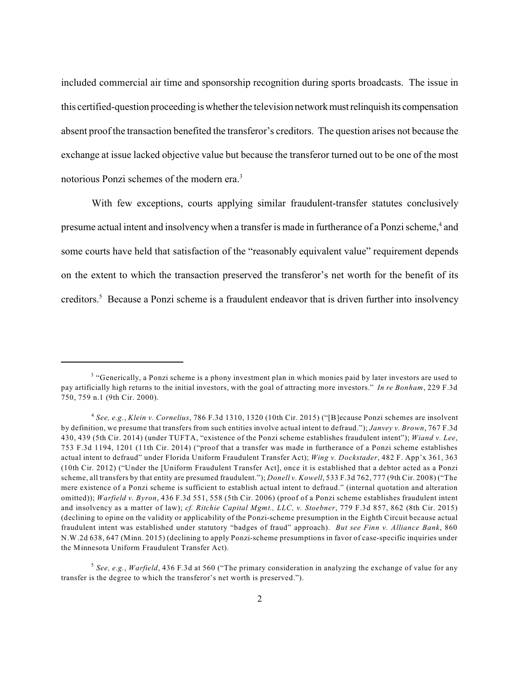included commercial air time and sponsorship recognition during sports broadcasts. The issue in this certified-question proceeding is whether the television network must relinquish its compensation absent proof the transaction benefited the transferor's creditors. The question arises not because the exchange at issue lacked objective value but because the transferor turned out to be one of the most notorious Ponzi schemes of the modern era.<sup>3</sup>

With few exceptions, courts applying similar fraudulent-transfer statutes conclusively presume actual intent and insolvency when a transfer is made in furtherance of a Ponzi scheme,<sup>4</sup> and some courts have held that satisfaction of the "reasonably equivalent value" requirement depends on the extent to which the transaction preserved the transferor's net worth for the benefit of its creditors.<sup>5</sup> Because a Ponzi scheme is a fraudulent endeavor that is driven further into insolvency

<sup>&</sup>lt;sup>3</sup> "Generically, a Ponzi scheme is a phony investment plan in which monies paid by later investors are used to pay artificially high returns to the initial investors, with the goal of attracting more investors." *In re Bonham*, 229 F.3d 750, 759 n.1 (9th Cir. 2000).

*See, e.g.*, *Klein v. Cornelius*, 786 F.3d 1310, 1320 (10th Cir. 2015) ("[B]ecause Ponzi schemes are insolvent 4 by definition, we presume that transfers from such entities involve actual intent to defraud."); *Janvey v. Brown*, 767 F.3d 430, 439 (5th Cir. 2014) (under TUFTA, "existence of the Ponzi scheme establishes fraudulent intent"); *Wiand v. Lee*, 753 F.3d 1194, 1201 (11th Cir. 2014) ("proof that a transfer was made in furtherance of a Ponzi scheme establishes actual intent to defraud" under Florida Uniform Fraudulent Transfer Act); *Wing v. Dockstader*, 482 F. App'x 361, 363 (10th Cir. 2012) ("Under the [Uniform Fraudulent Transfer Act], once it is established that a debtor acted as a Ponzi scheme, all transfers by that entity are presumed fraudulent."); *Donell v. Kowell*, 533 F.3d 762, 777 (9th Cir. 2008) ("The mere existence of a Ponzi scheme is sufficient to establish actual intent to defraud." (internal quotation and alteration omitted)); *Warfield v. Byron*, 436 F.3d 551, 558 (5th Cir. 2006) (proof of a Ponzi scheme establishes fraudulent intent and insolvency as a matter of law); *cf. Ritchie Capital Mgmt., LLC, v. Stoebner*, 779 F.3d 857, 862 (8th Cir. 2015) (declining to opine on the validity or applicability of the Ponzi-scheme presumption in the Eighth Circuit because actual fraudulent intent was established under statutory "badges of fraud" approach). *But see Finn v. Alliance Bank*, 860 N.W.2d 638, 647 (Minn. 2015) (declining to apply Ponzi-scheme presumptions in favor of case-specific inquiries under the Minnesota Uniform Fraudulent Transfer Act).

*See, e.g.*, *Warfield*, 436 F.3d at 560 ("The primary consideration in analyzing the exchange of value for any 5 transfer is the degree to which the transferor's net worth is preserved.").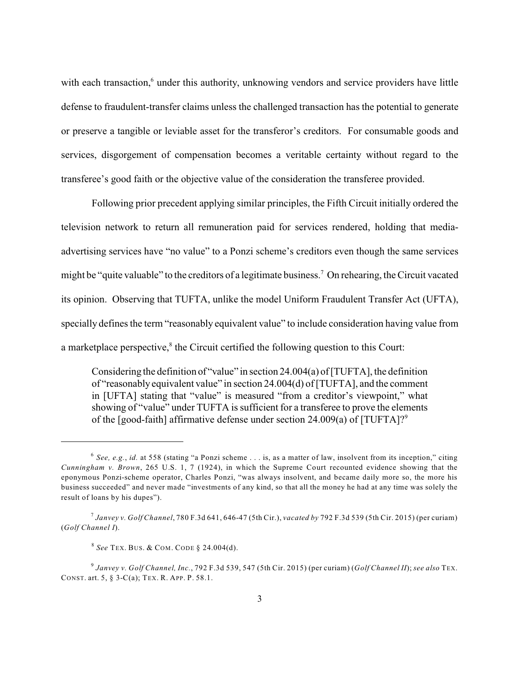with each transaction, $6$  under this authority, unknowing vendors and service providers have little defense to fraudulent-transfer claims unless the challenged transaction has the potential to generate or preserve a tangible or leviable asset for the transferor's creditors. For consumable goods and services, disgorgement of compensation becomes a veritable certainty without regard to the transferee's good faith or the objective value of the consideration the transferee provided.

Following prior precedent applying similar principles, the Fifth Circuit initially ordered the television network to return all remuneration paid for services rendered, holding that mediaadvertising services have "no value" to a Ponzi scheme's creditors even though the same services might be "quite valuable" to the creditors of a legitimate business.<sup>7</sup> On rehearing, the Circuit vacated its opinion. Observing that TUFTA, unlike the model Uniform Fraudulent Transfer Act (UFTA), specially defines the term "reasonably equivalent value" to include consideration having value from a marketplace perspective, $\frac{8}{3}$  the Circuit certified the following question to this Court:

Considering the definition of "value" in section 24.004(a) of [TUFTA], the definition of "reasonably equivalent value" in section 24.004(d) of [TUFTA], and the comment in [UFTA] stating that "value" is measured "from a creditor's viewpoint," what showing of "value" under TUFTA is sufficient for a transferee to prove the elements of the [good-faith] affirmative defense under section 24.009(a) of [TUFTA]?<sup>9</sup>

*See, e.g.*, *id.* at 558 (stating "a Ponzi scheme . . . is, as a matter of law, insolvent from its inception," citing 6 *Cunningham v. Brown*, 265 U.S. 1, 7 (1924), in which the Supreme Court recounted evidence showing that the eponymous Ponzi-scheme operator, Charles Ponzi, "was always insolvent, and became daily more so, the more his business succeeded" and never made "investments of any kind, so that all the money he had at any time was solely the result of loans by his dupes").

*Janvey v. Golf Channel*, 780 F.3d 641, 646-47 (5th Cir.), *vacated by* 792 F.3d 539 (5th Cir. 2015) (per curiam) 7 (*Golf Channel I*).

*See* TEX. BUS. & COM. CODE § 24.004(d). 8

*Janvey v. Golf Channel, Inc.*, 792 F.3d 539, 547 (5th Cir. 2015) (per curiam) (*Golf Channel II*); *see also* TEX. 9 CONST. art. 5, § 3-C(a); TEX. R. APP. P. 58.1.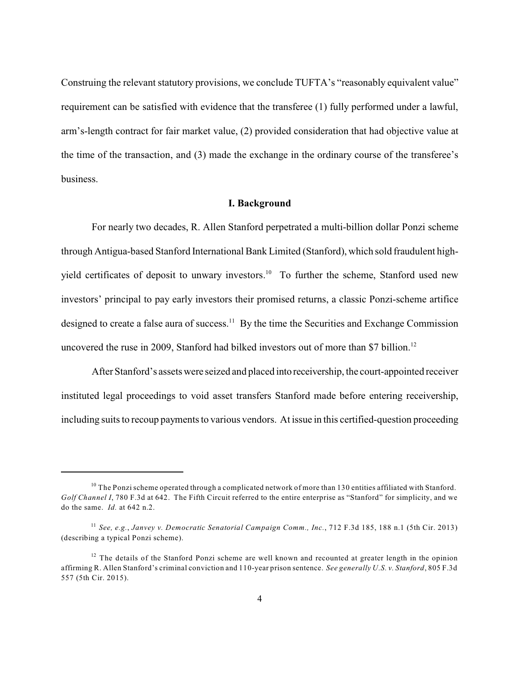Construing the relevant statutory provisions, we conclude TUFTA's "reasonably equivalent value" requirement can be satisfied with evidence that the transferee (1) fully performed under a lawful, arm's-length contract for fair market value, (2) provided consideration that had objective value at the time of the transaction, and (3) made the exchange in the ordinary course of the transferee's business.

#### **I. Background**

For nearly two decades, R. Allen Stanford perpetrated a multi-billion dollar Ponzi scheme through Antigua-based Stanford International Bank Limited (Stanford), which sold fraudulent highyield certificates of deposit to unwary investors.<sup>10</sup> To further the scheme, Stanford used new investors' principal to pay early investors their promised returns, a classic Ponzi-scheme artifice designed to create a false aura of success.<sup>11</sup> By the time the Securities and Exchange Commission uncovered the ruse in 2009, Stanford had bilked investors out of more than \$7 billion.<sup>12</sup>

After Stanford's assets were seized and placed into receivership, the court-appointed receiver instituted legal proceedings to void asset transfers Stanford made before entering receivership, including suits to recoup payments to various vendors. At issue in this certified-question proceeding

 $10$  The Ponzi scheme operated through a complicated network of more than 130 entities affiliated with Stanford. *Golf Channel I*, 780 F.3d at 642. The Fifth Circuit referred to the entire enterprise as "Stanford" for simplicity, and we do the same. *Id.* at 642 n.2.

*See, e.g.*, *Janvey v. Democratic Senatorial Campaign Comm., Inc.*, 712 F.3d 185, 188 n.1 (5th Cir. 2013) 11 (describing a typical Ponzi scheme).

 $12$  The details of the Stanford Ponzi scheme are well known and recounted at greater length in the opinion affirming R. Allen Stanford's criminal conviction and 110-year prison sentence. *See generally U.S. v. Stanford*, 805 F.3d 557 (5th Cir. 2015).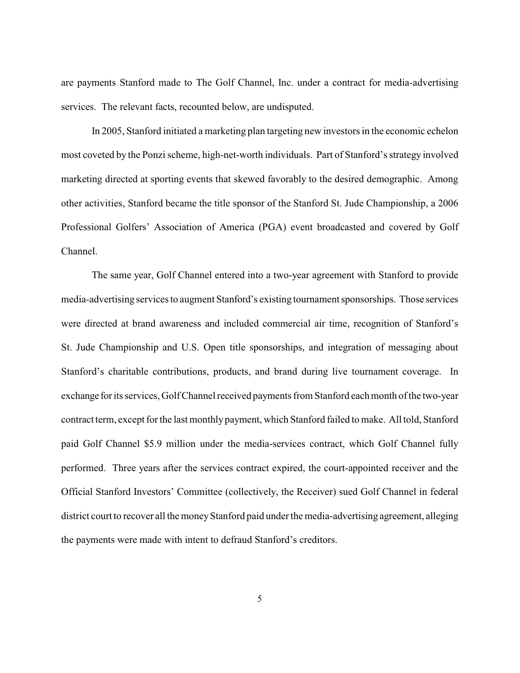are payments Stanford made to The Golf Channel, Inc. under a contract for media-advertising services. The relevant facts, recounted below, are undisputed.

In 2005, Stanford initiated a marketing plan targeting new investors in the economic echelon most coveted by the Ponzi scheme, high-net-worth individuals. Part of Stanford's strategy involved marketing directed at sporting events that skewed favorably to the desired demographic. Among other activities, Stanford became the title sponsor of the Stanford St. Jude Championship, a 2006 Professional Golfers' Association of America (PGA) event broadcasted and covered by Golf Channel.

The same year, Golf Channel entered into a two-year agreement with Stanford to provide media-advertising services to augment Stanford's existing tournament sponsorships. Those services were directed at brand awareness and included commercial air time, recognition of Stanford's St. Jude Championship and U.S. Open title sponsorships, and integration of messaging about Stanford's charitable contributions, products, and brand during live tournament coverage. In exchange for its services, Golf Channel received payments from Stanford each month of the two-year contract term, except for the last monthly payment, which Stanford failed to make. All told, Stanford paid Golf Channel \$5.9 million under the media-services contract, which Golf Channel fully performed. Three years after the services contract expired, the court-appointed receiver and the Official Stanford Investors' Committee (collectively, the Receiver) sued Golf Channel in federal district court to recover all the money Stanford paid under the media-advertising agreement, alleging the payments were made with intent to defraud Stanford's creditors.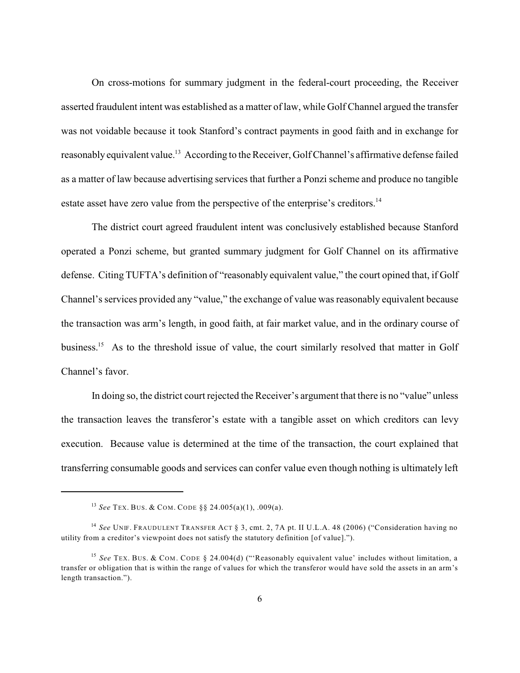On cross-motions for summary judgment in the federal-court proceeding, the Receiver asserted fraudulent intent was established as a matter of law, while Golf Channel argued the transfer was not voidable because it took Stanford's contract payments in good faith and in exchange for reasonably equivalent value.<sup>13</sup> According to the Receiver, Golf Channel's affirmative defense failed as a matter of law because advertising services that further a Ponzi scheme and produce no tangible estate asset have zero value from the perspective of the enterprise's creditors.<sup>14</sup>

The district court agreed fraudulent intent was conclusively established because Stanford operated a Ponzi scheme, but granted summary judgment for Golf Channel on its affirmative defense. Citing TUFTA's definition of "reasonably equivalent value," the court opined that, if Golf Channel's services provided any "value," the exchange of value was reasonably equivalent because the transaction was arm's length, in good faith, at fair market value, and in the ordinary course of business.<sup>15</sup> As to the threshold issue of value, the court similarly resolved that matter in Golf Channel's favor.

In doing so, the district court rejected the Receiver's argument that there is no "value" unless the transaction leaves the transferor's estate with a tangible asset on which creditors can levy execution. Because value is determined at the time of the transaction, the court explained that transferring consumable goods and services can confer value even though nothing is ultimately left

<sup>&</sup>lt;sup>13</sup> See TEX. BUS. & COM. CODE § § 24.005(a)(1), .009(a).

<sup>&</sup>lt;sup>14</sup> See UNIF. FRAUDULENT TRANSFER ACT § 3, cmt. 2, 7A pt. II U.L.A. 48 (2006) ("Consideration having no utility from a creditor's viewpoint does not satisfy the statutory definition [of value].").

<sup>&</sup>lt;sup>15</sup> See TEX. BUS. & COM. CODE § 24.004(d) ("'Reasonably equivalent value' includes without limitation, a transfer or obligation that is within the range of values for which the transferor would have sold the assets in an arm's length transaction.").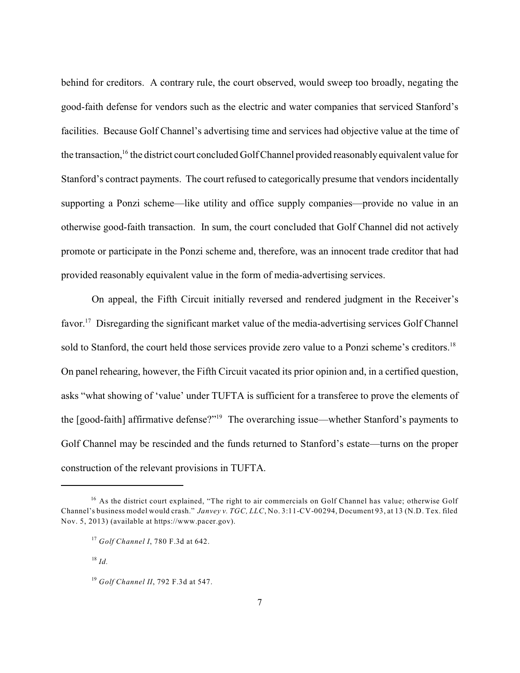behind for creditors. A contrary rule, the court observed, would sweep too broadly, negating the good-faith defense for vendors such as the electric and water companies that serviced Stanford's facilities. Because Golf Channel's advertising time and services had objective value at the time of the transaction,  $16$  the district court concluded Golf Channel provided reasonably equivalent value for Stanford's contract payments. The court refused to categorically presume that vendors incidentally supporting a Ponzi scheme—like utility and office supply companies—provide no value in an otherwise good-faith transaction. In sum, the court concluded that Golf Channel did not actively promote or participate in the Ponzi scheme and, therefore, was an innocent trade creditor that had provided reasonably equivalent value in the form of media-advertising services.

On appeal, the Fifth Circuit initially reversed and rendered judgment in the Receiver's favor.<sup>17</sup> Disregarding the significant market value of the media-advertising services Golf Channel sold to Stanford, the court held those services provide zero value to a Ponzi scheme's creditors.<sup>18</sup> On panel rehearing, however, the Fifth Circuit vacated its prior opinion and, in a certified question, asks "what showing of 'value' under TUFTA is sufficient for a transferee to prove the elements of the  $[good-faith]$  affirmative defense?"<sup>19</sup> The overarching issue—whether Stanford's payments to Golf Channel may be rescinded and the funds returned to Stanford's estate—turns on the proper construction of the relevant provisions in TUFTA.

<sup>&</sup>lt;sup>16</sup> As the district court explained, "The right to air commercials on Golf Channel has value; otherwise Golf Channel's business model would crash." *Janvey v. TGC, LLC*, No. 3:11-CV-00294, Document 93, at 13 (N.D. Tex. filed Nov. 5, 2013) (available at https://www.pacer.gov).

<sup>&</sup>lt;sup>17</sup> Golf Channel I, 780 F.3d at 642.

 $^{18}$  *Id.* 

<sup>&</sup>lt;sup>19</sup> Golf Channel II, 792 F.3d at 547.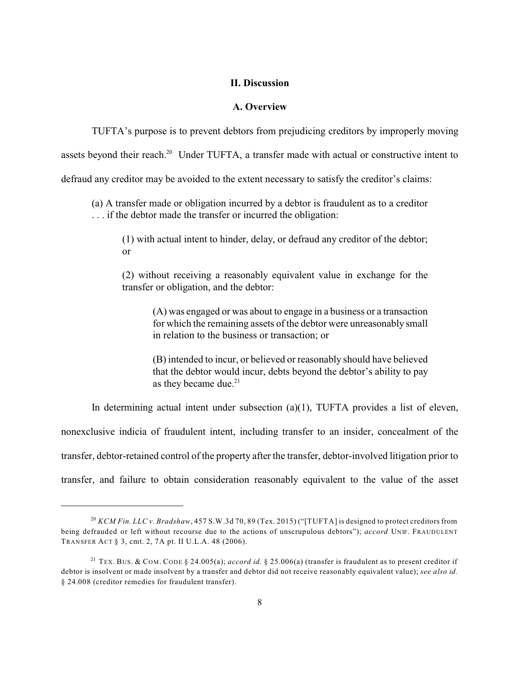#### **II. Discussion**

## **A. Overview**

TUFTA's purpose is to prevent debtors from prejudicing creditors by improperly moving

assets beyond their reach.<sup>20</sup> Under TUFTA, a transfer made with actual or constructive intent to

defraud any creditor may be avoided to the extent necessary to satisfy the creditor's claims:

(a) A transfer made or obligation incurred by a debtor is fraudulent as to a creditor . . . if the debtor made the transfer or incurred the obligation:

(1) with actual intent to hinder, delay, or defraud any creditor of the debtor; or

(2) without receiving a reasonably equivalent value in exchange for the transfer or obligation, and the debtor:

(A) was engaged or was about to engage in a business or a transaction for which the remaining assets of the debtor were unreasonably small in relation to the business or transaction; or

(B) intended to incur, or believed or reasonably should have believed that the debtor would incur, debts beyond the debtor's ability to pay as they became due. $21$ 

In determining actual intent under subsection (a)(1), TUFTA provides a list of eleven,

nonexclusive indicia of fraudulent intent, including transfer to an insider, concealment of the

transfer, debtor-retained control of the property after the transfer, debtor-involved litigation prior to

transfer, and failure to obtain consideration reasonably equivalent to the value of the asset

*KCM Fin. LLC v. Bradshaw*, 457 S.W.3d 70, 89 (Tex. 2015) ("[TUFTA] is designed to protect creditors from 20 being defrauded or left without recourse due to the actions of unscrupulous debtors"); *accord* UNIF. FRAUDULENT TRANSFER ACT § 3, cmt. 2, 7A pt. II U.L.A. 48 (2006).

<sup>&</sup>lt;sup>21</sup> TEX. BUS. & COM. CODE § 24.005(a); *accord id.* § 25.006(a) (transfer is fraudulent as to present creditor if debtor is insolvent or made insolvent by a transfer and debtor did not receive reasonably equivalent value); *see also id.* § 24.008 (creditor remedies for fraudulent transfer).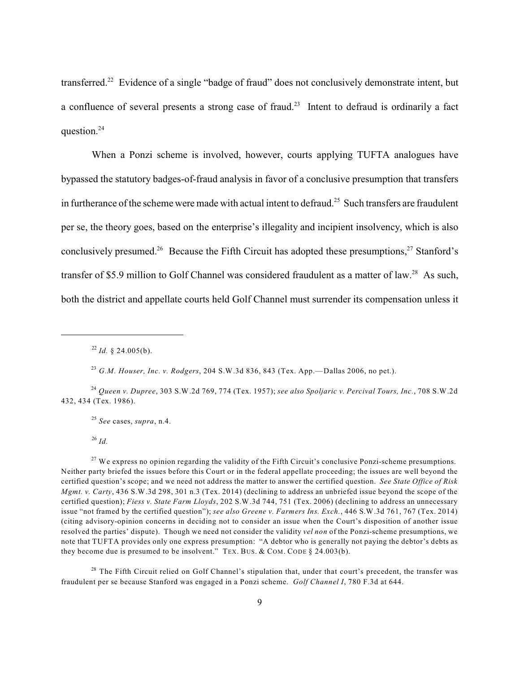transferred.<sup>22</sup> Evidence of a single "badge of fraud" does not conclusively demonstrate intent, but a confluence of several presents a strong case of fraud.<sup>23</sup> Intent to defraud is ordinarily a fact question.<sup>24</sup>

When a Ponzi scheme is involved, however, courts applying TUFTA analogues have bypassed the statutory badges-of-fraud analysis in favor of a conclusive presumption that transfers in furtherance of the scheme were made with actual intent to defraud.<sup>25</sup> Such transfers are fraudulent per se, the theory goes, based on the enterprise's illegality and incipient insolvency, which is also conclusively presumed.<sup>26</sup> Because the Fifth Circuit has adopted these presumptions,  $27$  Stanford's transfer of \$5.9 million to Golf Channel was considered fraudulent as a matter of law.<sup>28</sup> As such, both the district and appellate courts held Golf Channel must surrender its compensation unless it

*G.M. Houser, Inc. v. Rodgers*, 204 S.W.3d 836, 843 (Tex. App.—Dallas 2006, no pet.). 23

*See* cases, *supra*, n.4. 25

*Id.* 26

<sup>27</sup> We express no opinion regarding the validity of the Fifth Circuit's conclusive Ponzi-scheme presumptions. Neither party briefed the issues before this Court or in the federal appellate proceeding; the issues are well beyond the certified question's scope; and we need not address the matter to answer the certified question. *See State Office of Risk Mgmt. v. Carty*, 436 S.W.3d 298, 301 n.3 (Tex. 2014) (declining to address an unbriefed issue beyond the scope of the certified question); *Fiess v. State Farm Lloyds*, 202 S.W.3d 744, 751 (Tex. 2006) (declining to address an unnecessary issue "not framed by the certified question"); *see also Greene v. Farmers Ins. Exch.*, 446 S.W.3d 761, 767 (Tex. 2014) (citing advisory-opinion concerns in deciding not to consider an issue when the Court's disposition of another issue resolved the parties' dispute). Though we need not consider the validity *vel non* of the Ponzi-scheme presumptions, we note that TUFTA provides only one express presumption: "A debtor who is generally not paying the debtor's debts as they become due is presumed to be insolvent." TEX. BUS. & COM. CODE  $\S$  24.003(b).

<sup>28</sup> The Fifth Circuit relied on Golf Channel's stipulation that, under that court's precedent, the transfer was fraudulent per se because Stanford was engaged in a Ponzi scheme. *Golf Channel I*, 780 F.3d at 644.

 $^{22}$  *Id.* § 24.005(b).

*Queen v. Dupree*, 303 S.W.2d 769, 774 (Tex. 1957); *see also Spoljaric v. Percival Tours, Inc.*, 708 S.W.2d 24 432, 434 (Tex. 1986).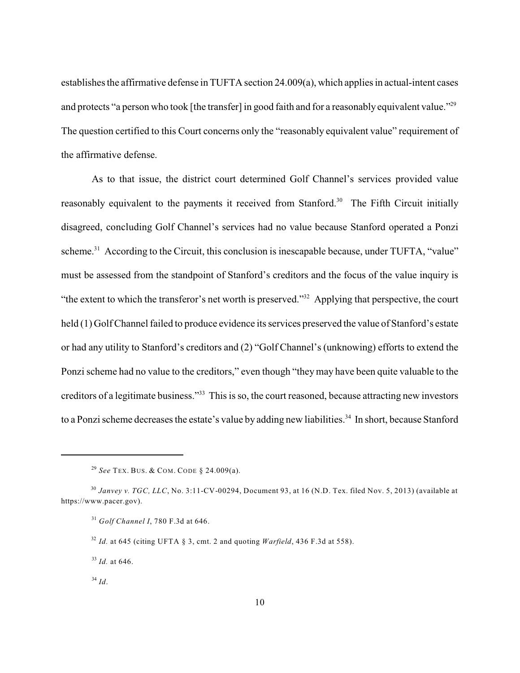establishes the affirmative defense in TUFTA section 24.009(a), which applies in actual-intent cases and protects "a person who took [the transfer] in good faith and for a reasonably equivalent value."<sup>29</sup> The question certified to this Court concerns only the "reasonably equivalent value" requirement of the affirmative defense.

As to that issue, the district court determined Golf Channel's services provided value reasonably equivalent to the payments it received from Stanford.<sup>30</sup> The Fifth Circuit initially disagreed, concluding Golf Channel's services had no value because Stanford operated a Ponzi scheme.<sup>31</sup> According to the Circuit, this conclusion is inescapable because, under TUFTA, "value" must be assessed from the standpoint of Stanford's creditors and the focus of the value inquiry is "the extent to which the transferor's net worth is preserved."<sup>32</sup> Applying that perspective, the court held (1) Golf Channel failed to produce evidence its services preserved the value of Stanford's estate or had any utility to Stanford's creditors and (2) "Golf Channel's (unknowing) efforts to extend the Ponzi scheme had no value to the creditors," even though "theymay have been quite valuable to the creditors of a legitimate business."<sup>33</sup> This is so, the court reasoned, because attracting new investors to a Ponzi scheme decreases the estate's value by adding new liabilities.<sup>34</sup> In short, because Stanford

*See* TEX. BUS. & COM. CODE § 24.009(a). 29

<sup>&</sup>lt;sup>30</sup> Janvey v. TGC, LLC, No. 3:11-CV-00294, Document 93, at 16 (N.D. Tex. filed Nov. 5, 2013) (available at https://www.pacer.gov).

*Golf Channel I*, 780 F.3d at 646. 31

*Id.* at 645 (citing UFTA § 3, cmt. 2 and quoting *Warfield*, 436 F.3d at 558). 32

 $^{33}$  *Id.* at 646.

*Id*. 34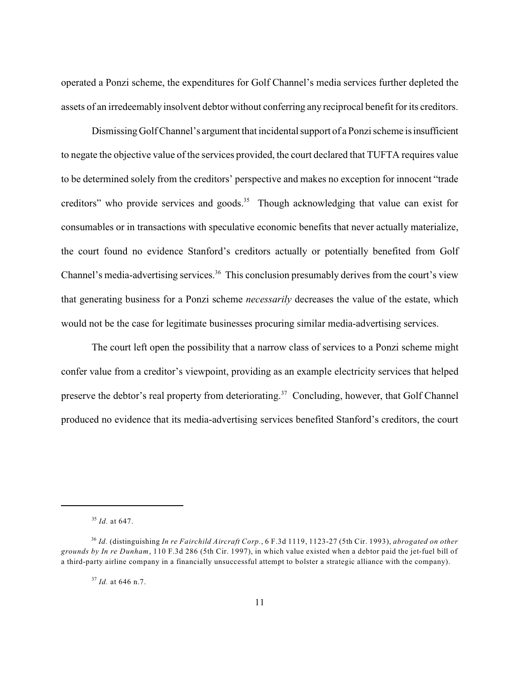operated a Ponzi scheme, the expenditures for Golf Channel's media services further depleted the assets of an irredeemably insolvent debtor without conferring any reciprocal benefit for its creditors.

Dismissing Golf Channel's argument that incidental support of a Ponzi scheme is insufficient to negate the objective value of the services provided, the court declared that TUFTA requires value to be determined solely from the creditors' perspective and makes no exception for innocent "trade creditors" who provide services and goods.<sup>35</sup> Though acknowledging that value can exist for consumables or in transactions with speculative economic benefits that never actually materialize, the court found no evidence Stanford's creditors actually or potentially benefited from Golf Channel's media-advertising services.<sup>36</sup> This conclusion presumably derives from the court's view that generating business for a Ponzi scheme *necessarily* decreases the value of the estate, which would not be the case for legitimate businesses procuring similar media-advertising services.

The court left open the possibility that a narrow class of services to a Ponzi scheme might confer value from a creditor's viewpoint, providing as an example electricity services that helped preserve the debtor's real property from deteriorating.<sup>37</sup> Concluding, however, that Golf Channel produced no evidence that its media-advertising services benefited Stanford's creditors, the court

<sup>&</sup>lt;sup>35</sup> *Id.* at 647.

*Id.* (distinguishing *In re Fairchild Aircraft Corp.*, 6 F.3d 1119, 1123-27 (5th Cir. 1993), *abrogated on other* 36 *grounds by In re Dunham*, 110 F.3d 286 (5th Cir. 1997), in which value existed when a debtor paid the jet-fuel bill of a third-party airline company in a financially unsuccessful attempt to bolster a strategic alliance with the company).

<sup>&</sup>lt;sup>37</sup> Id. at 646 n.7.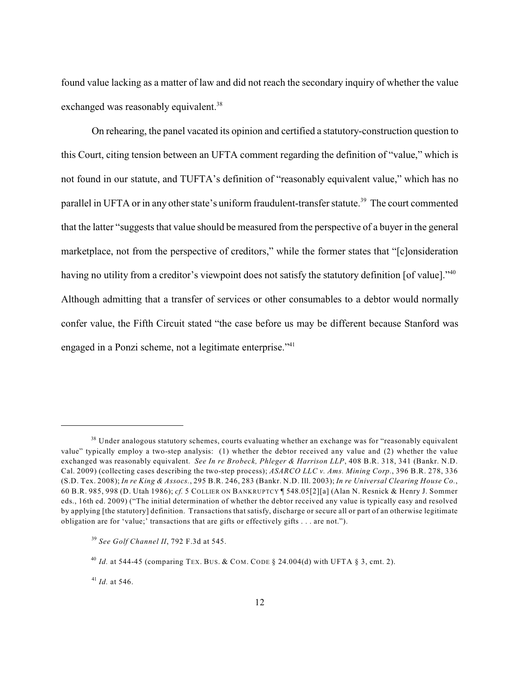found value lacking as a matter of law and did not reach the secondary inquiry of whether the value exchanged was reasonably equivalent.<sup>38</sup>

On rehearing, the panel vacated its opinion and certified a statutory-construction question to this Court, citing tension between an UFTA comment regarding the definition of "value," which is not found in our statute, and TUFTA's definition of "reasonably equivalent value," which has no parallel in UFTA or in any other state's uniform fraudulent-transfer statute.<sup>39</sup> The court commented that the latter "suggests that value should be measured from the perspective of a buyer in the general marketplace, not from the perspective of creditors," while the former states that "[c]onsideration having no utility from a creditor's viewpoint does not satisfy the statutory definition [of value]."<sup>40</sup> Although admitting that a transfer of services or other consumables to a debtor would normally confer value, the Fifth Circuit stated "the case before us may be different because Stanford was engaged in a Ponzi scheme, not a legitimate enterprise."<sup>41</sup>

<sup>&</sup>lt;sup>38</sup> Under analogous statutory schemes, courts evaluating whether an exchange was for "reasonably equivalent value" typically employ a two-step analysis: (1) whether the debtor received any value and (2) whether the value exchanged was reasonably equivalent. *See In re Brobeck, Phleger & Harrison LLP*, 408 B.R. 318, 341 (Bankr. N.D. Cal. 2009) (collecting cases describing the two-step process); *ASARCO LLC v. Ams. Mining Corp.*, 396 B.R. 278, 336 (S.D. Tex. 2008); *In re King & Assocs.*, 295 B.R. 246, 283 (Bankr. N.D. Ill. 2003); *In re Universal Clearing House Co.*, 60 B.R. 985, 998 (D. Utah 1986); *cf.* 5 COLLIER ON BANKRUPTCY ¶ 548.05[2][a] (Alan N. Resnick & Henry J. Sommer eds., 16th ed. 2009) ("The initial determination of whether the debtor received any value is typically easy and resolved by applying [the statutory] definition. Transactions that satisfy, discharge or secure all or part of an otherwise legitimate obligation are for 'value;' transactions that are gifts or effectively gifts . . . are not.").

*See Golf Channel II*, 792 F.3d at 545. 39

<sup>&</sup>lt;sup>40</sup> *Id.* at 544-45 (comparing TEX. BUS. & COM. CODE § 24.004(d) with UFTA § 3, cmt. 2).

 $^{41}$  *Id.* at 546.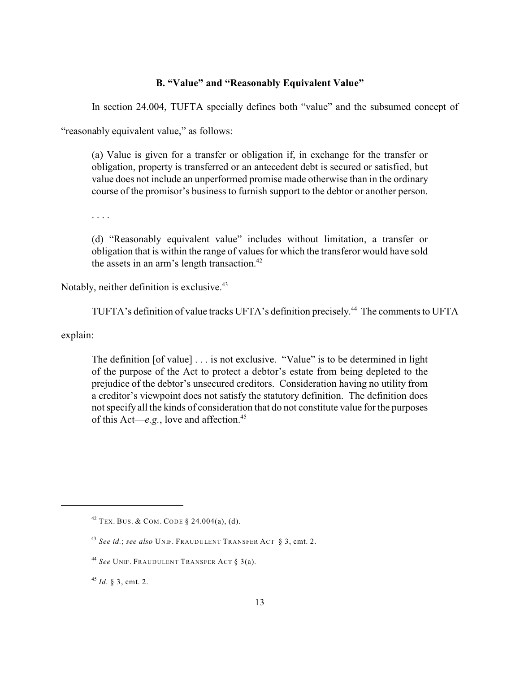## **B. "Value" and "Reasonably Equivalent Value"**

In section 24.004, TUFTA specially defines both "value" and the subsumed concept of

"reasonably equivalent value," as follows:

(a) Value is given for a transfer or obligation if, in exchange for the transfer or obligation, property is transferred or an antecedent debt is secured or satisfied, but value does not include an unperformed promise made otherwise than in the ordinary course of the promisor's business to furnish support to the debtor or another person.

. . . .

(d) "Reasonably equivalent value" includes without limitation, a transfer or obligation that is within the range of values for which the transferor would have sold the assets in an arm's length transaction. 42

Notably, neither definition is exclusive.<sup>43</sup>

TUFTA's definition of value tracks UFTA's definition precisely.<sup>44</sup> The comments to UFTA

explain:

The definition [of value] . . . is not exclusive. "Value" is to be determined in light of the purpose of the Act to protect a debtor's estate from being depleted to the prejudice of the debtor's unsecured creditors. Consideration having no utility from a creditor's viewpoint does not satisfy the statutory definition. The definition does not specify all the kinds of consideration that do not constitute value for the purposes of this Act—*e.g.*, love and affection.<sup>45</sup>

<sup>45</sup> *Id.* § 3, cmt. 2.

 $42$  Tex. Bus. & COM. CODE § 24.004(a), (d).

*See id.*; *see also* UNIF. FRAUDULENT TRANSFER ACT § 3, cmt. 2. 43

<sup>&</sup>lt;sup>44</sup> See Unif. Fraudulent Transfer Act § 3(a).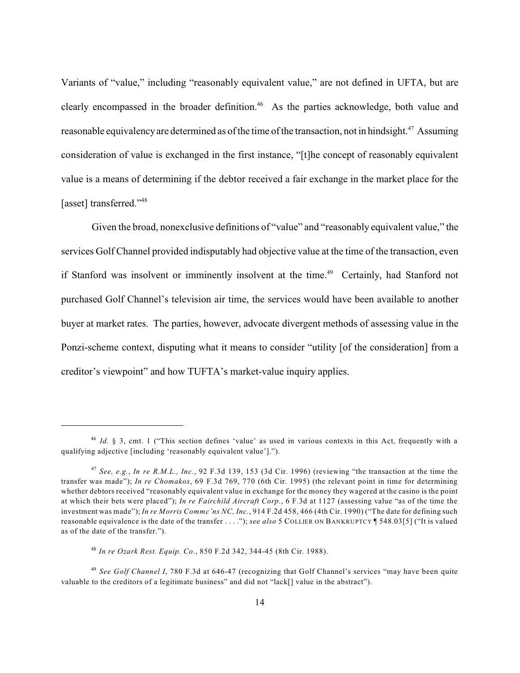Variants of "value," including "reasonably equivalent value," are not defined in UFTA, but are clearly encompassed in the broader definition.<sup>46</sup> As the parties acknowledge, both value and reasonable equivalency are determined as of the time of the transaction, not in hindsight.<sup>47</sup> Assuming consideration of value is exchanged in the first instance, "[t]he concept of reasonably equivalent value is a means of determining if the debtor received a fair exchange in the market place for the [asset] transferred."<sup>48</sup>

Given the broad, nonexclusive definitions of "value" and "reasonably equivalent value," the services Golf Channel provided indisputably had objective value at the time of the transaction, even if Stanford was insolvent or imminently insolvent at the time.<sup>49</sup> Certainly, had Stanford not purchased Golf Channel's television air time, the services would have been available to another buyer at market rates. The parties, however, advocate divergent methods of assessing value in the Ponzi-scheme context, disputing what it means to consider "utility [of the consideration] from a creditor's viewpoint" and how TUFTA's market-value inquiry applies.

<sup>&</sup>lt;sup>46</sup> *Id.* § 3, cmt. 1 ("This section defines 'value' as used in various contexts in this Act, frequently with a qualifying adjective [including 'reasonably equivalent value'].").

*See, e.g.*, *In re R.M.L., Inc.*, 92 F.3d 139, 153 (3d Cir. 1996) (reviewing "the transaction at the time the 47 transfer was made"); *In re Chomakos*, 69 F.3d 769, 770 (6th Cir. 1995) (the relevant point in time for determining whether debtors received "reasonably equivalent value in exchange for the money they wagered at the casino is the point at which their bets were placed"); *In re Fairchild Aircraft Corp.*, 6 F.3d at 1127 (assessing value "as of the time the investment was made"); *In re Morris Commc'ns NC, Inc.*, 914 F.2d 458, 466 (4th Cir. 1990) ("The date for defining such reasonable equivalence is the date of the transfer . . . ."); *see also* 5 COLLIER ON BANKRUPTCY ¶ 548.03[5] ("It is valued as of the date of the transfer.").

*In re Ozark Rest. Equip. Co.*, 850 F.2d 342, 344-45 (8th Cir. 1988). 48

<sup>&</sup>lt;sup>49</sup> See Golf Channel I, 780 F.3d at 646-47 (recognizing that Golf Channel's services "may have been quite valuable to the creditors of a legitimate business" and did not "lack[] value in the abstract").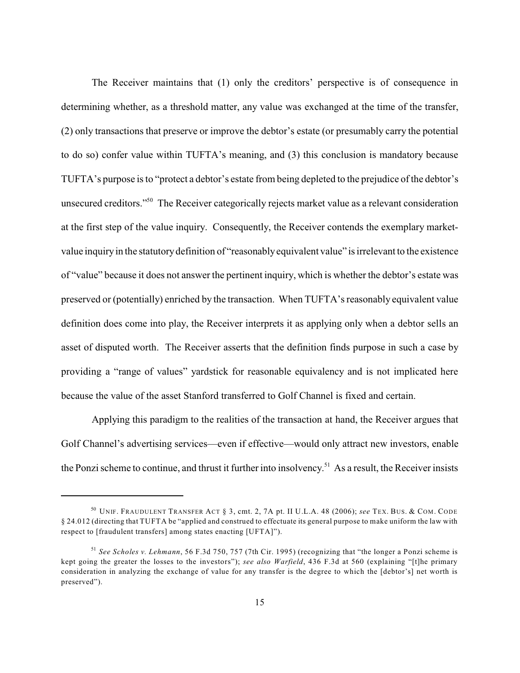The Receiver maintains that (1) only the creditors' perspective is of consequence in determining whether, as a threshold matter, any value was exchanged at the time of the transfer, (2) only transactions that preserve or improve the debtor's estate (or presumably carry the potential to do so) confer value within TUFTA's meaning, and (3) this conclusion is mandatory because TUFTA's purpose is to "protect a debtor's estate from being depleted to the prejudice of the debtor's unsecured creditors."<sup>50</sup> The Receiver categorically rejects market value as a relevant consideration at the first step of the value inquiry. Consequently, the Receiver contends the exemplary marketvalue inquiry in the statutory definition of "reasonably equivalent value" is irrelevant to the existence of "value" because it does not answer the pertinent inquiry, which is whether the debtor's estate was preserved or (potentially) enriched by the transaction. When TUFTA's reasonably equivalent value definition does come into play, the Receiver interprets it as applying only when a debtor sells an asset of disputed worth. The Receiver asserts that the definition finds purpose in such a case by providing a "range of values" yardstick for reasonable equivalency and is not implicated here because the value of the asset Stanford transferred to Golf Channel is fixed and certain.

Applying this paradigm to the realities of the transaction at hand, the Receiver argues that Golf Channel's advertising services—even if effective—would only attract new investors, enable the Ponzi scheme to continue, and thrust it further into insolvency.<sup>51</sup> As a result, the Receiver insists

<sup>&</sup>lt;sup>50</sup> UNIF. FRAUDULENT TRANSFER ACT § 3, cmt. 2, 7A pt. II U.L.A. 48 (2006); *see* Tex. Bus. & Com. Code § 24.012 (directing that TUFTA be "applied and construed to effectuate its general purpose to make uniform the law with respect to [fraudulent transfers] among states enacting [UFTA]").

*See Scholes v. Lehmann*, 56 F.3d 750, 757 (7th Cir. 1995) (recognizing that "the longer a Ponzi scheme is 51 kept going the greater the losses to the investors"); *see also Warfield*, 436 F.3d at 560 (explaining "[t]he primary consideration in analyzing the exchange of value for any transfer is the degree to which the [debtor's] net worth is preserved").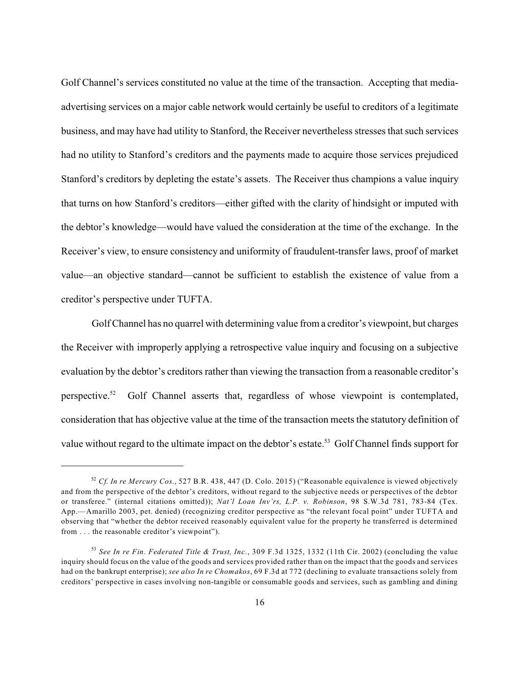Golf Channel's services constituted no value at the time of the transaction. Accepting that mediaadvertising services on a major cable network would certainly be useful to creditors of a legitimate business, and may have had utility to Stanford, the Receiver nevertheless stresses that such services had no utility to Stanford's creditors and the payments made to acquire those services prejudiced Stanford's creditors by depleting the estate's assets. The Receiver thus champions a value inquiry that turns on how Stanford's creditors—either gifted with the clarity of hindsight or imputed with the debtor's knowledge—would have valued the consideration at the time of the exchange. In the Receiver's view, to ensure consistency and uniformity of fraudulent-transfer laws, proof of market value—an objective standard—cannot be sufficient to establish the existence of value from a creditor's perspective under TUFTA.

Golf Channel has no quarrel with determining value from a creditor's viewpoint, but charges the Receiver with improperly applying a retrospective value inquiry and focusing on a subjective evaluation by the debtor's creditors rather than viewing the transaction from a reasonable creditor's perspective.<sup>52</sup> Golf Channel asserts that, regardless of whose viewpoint is contemplated, consideration that has objective value at the time of the transaction meets the statutory definition of value without regard to the ultimate impact on the debtor's estate.<sup>53</sup> Golf Channel finds support for

*Cf. In re Mercury Cos.*, 527 B.R. 438, 447 (D. Colo. 2015) ("Reasonable equivalence is viewed objectively 52 and from the perspective of the debtor's creditors, without regard to the subjective needs or perspectives of the debtor or transferee." (internal citations omitted)); *Nat'l Loan Inv'rs, L.P. v. Robinson*, 98 S.W.3d 781, 783-84 (Tex. App.—Amarillo 2003, pet. denied) (recognizing creditor perspective as "the relevant focal point" under TUFTA and observing that "whether the debtor received reasonably equivalent value for the property he transferred is determined from . . . the reasonable creditor's viewpoint").

*See In re Fin. Federated Title & Trust, Inc.*, 309 F.3d 1325, 1332 (11th Cir. 2002) (concluding the value 53 inquiry should focus on the value of the goods and services provided rather than on the impact that the goods and services had on the bankrupt enterprise); *see also In re Chomakos*, 69 F.3d at 772 (declining to evaluate transactions solely from creditors' perspective in cases involving non-tangible or consumable goods and services, such as gambling and dining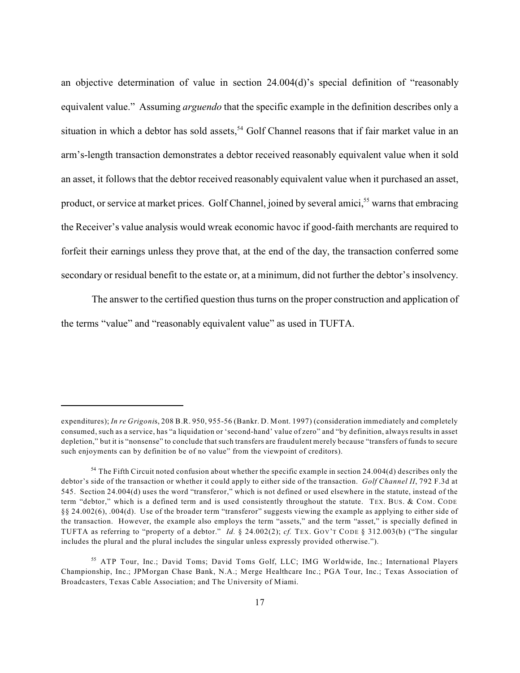an objective determination of value in section 24.004(d)'s special definition of "reasonably equivalent value." Assuming *arguendo* that the specific example in the definition describes only a situation in which a debtor has sold assets,<sup>54</sup> Golf Channel reasons that if fair market value in an arm's-length transaction demonstrates a debtor received reasonably equivalent value when it sold an asset, it follows that the debtor received reasonably equivalent value when it purchased an asset, product, or service at market prices. Golf Channel, joined by several amici,<sup>55</sup> warns that embracing the Receiver's value analysis would wreak economic havoc if good-faith merchants are required to forfeit their earnings unless they prove that, at the end of the day, the transaction conferred some secondary or residual benefit to the estate or, at a minimum, did not further the debtor's insolvency.

The answer to the certified question thus turns on the proper construction and application of the terms "value" and "reasonably equivalent value" as used in TUFTA.

expenditures); *In re Grigoni*s, 208 B.R. 950, 955-56 (Bankr. D. Mont. 1997) (consideration immediately and completely consumed, such as a service, has "a liquidation or 'second-hand' value of zero" and "by definition, always results in asset depletion," but it is "nonsense" to conclude that such transfers are fraudulent merely because "transfers of funds to secure such enjoyments can by definition be of no value" from the viewpoint of creditors).

<sup>&</sup>lt;sup>54</sup> The Fifth Circuit noted confusion about whether the specific example in section 24.004(d) describes only the debtor's side of the transaction or whether it could apply to either side of the transaction. *Golf Channel II*, 792 F.3d at 545. Section 24.004(d) uses the word "transferor," which is not defined or used elsewhere in the statute, instead of the term "debtor," which is a defined term and is used consistently throughout the statute. TEX. BUS. & COM. CODE §§ 24.002(6), .004(d). Use of the broader term "transferor" suggests viewing the example as applying to either side of the transaction. However, the example also employs the term "assets," and the term "asset," is specially defined in TUFTA as referring to "property of a debtor." *Id.* § 24.002(2); *cf.* TEX. GOV'T CODE § 312.003(b) ("The singular includes the plural and the plural includes the singular unless expressly provided otherwise.").

<sup>&</sup>lt;sup>55</sup> ATP Tour, Inc.; David Toms; David Toms Golf, LLC; IMG Worldwide, Inc.; International Players Championship, Inc.; JPMorgan Chase Bank, N.A.; Merge Healthcare Inc.; PGA Tour, Inc.; Texas Association of Broadcasters, Texas Cable Association; and The University of Miami.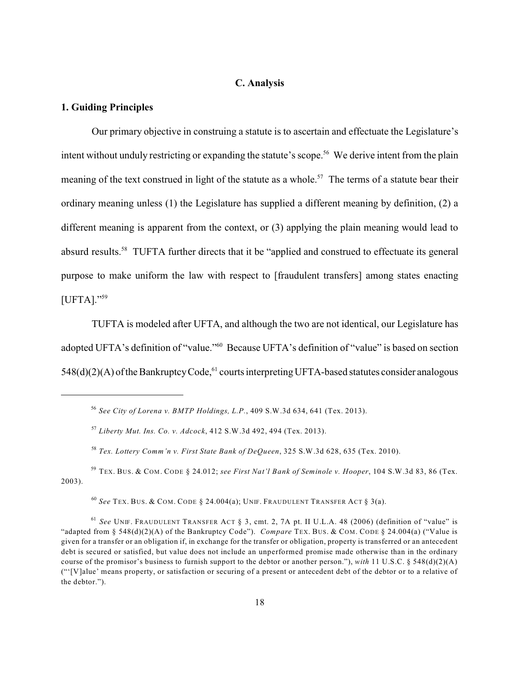#### **C. Analysis**

### **1. Guiding Principles**

Our primary objective in construing a statute is to ascertain and effectuate the Legislature's intent without unduly restricting or expanding the statute's scope.<sup>56</sup> We derive intent from the plain meaning of the text construed in light of the statute as a whole.<sup>57</sup> The terms of a statute bear their ordinary meaning unless (1) the Legislature has supplied a different meaning by definition, (2) a different meaning is apparent from the context, or (3) applying the plain meaning would lead to absurd results.<sup>58</sup> TUFTA further directs that it be "applied and construed to effectuate its general purpose to make uniform the law with respect to [fraudulent transfers] among states enacting [UFTA]."<sup>59</sup>

TUFTA is modeled after UFTA, and although the two are not identical, our Legislature has adopted UFTA's definition of "value."<sup>60</sup> Because UFTA's definition of "value" is based on section  $548(d)(2)(A)$  of the Bankruptcy Code, <sup>61</sup> courts interpreting UFTA-based statutes consider analogous

*Tex. Lottery Comm'n v. First State Bank of DeQueen*, 325 S.W.3d 628, 635 (Tex. 2010). 58

TEX. BUS. & COM. CODE § 24.012; *see First Nat'l Bank of Seminole v. Hooper*, 104 S.W.3d 83, 86 (Tex. 59 2003).

<sup>60</sup> See Tex. Bus. & Com. Code § 24.004(a); Unif. Fraudulent Transfer Act § 3(a).

*See City of Lorena v. BMTP Holdings, L.P.*, 409 S.W.3d 634, 641 (Tex. 2013). 56

*Liberty Mut. Ins. Co. v. Adcock*, 412 S.W.3d 492, 494 (Tex. 2013). 57

<sup>&</sup>lt;sup>61</sup> See UNIF. FRAUDULENT TRANSFER ACT § 3, cmt. 2, 7A pt. II U.L.A. 48 (2006) (definition of "value" is "adapted from § 548(d)(2)(A) of the Bankruptcy Code"). *Compare* TEX. BUS. & COM. CODE § 24.004(a) ("Value is given for a transfer or an obligation if, in exchange for the transfer or obligation, property is transferred or an antecedent debt is secured or satisfied, but value does not include an unperformed promise made otherwise than in the ordinary course of the promisor's business to furnish support to the debtor or another person."), *with* 11 U.S.C. § 548(d)(2)(A) ("'[V]alue' means property, or satisfaction or securing of a present or antecedent debt of the debtor or to a relative of the debtor.").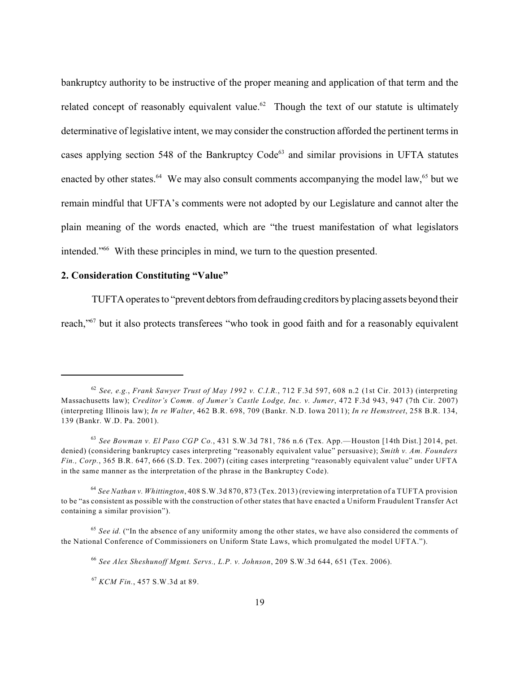bankruptcy authority to be instructive of the proper meaning and application of that term and the related concept of reasonably equivalent value.<sup>62</sup> Though the text of our statute is ultimately determinative of legislative intent, we may consider the construction afforded the pertinent terms in cases applying section 548 of the Bankruptcy  $Code^{63}$  and similar provisions in UFTA statutes enacted by other states. <sup>64</sup> We may also consult comments accompanying the model law, <sup>65</sup> but we remain mindful that UFTA's comments were not adopted by our Legislature and cannot alter the plain meaning of the words enacted, which are "the truest manifestation of what legislators intended."<sup>66</sup> With these principles in mind, we turn to the question presented.

## **2. Consideration Constituting "Value"**

TUFTA operates to "prevent debtors from defrauding creditors by placing assets beyond their

reach,"<sup>67</sup> but it also protects transferees "who took in good faith and for a reasonably equivalent

*See, e.g.*, *Frank Sawyer Trust of May 1992 v. C.I.R.*, 712 F.3d 597, 608 n.2 (1st Cir. 2013) (interpreting 62 Massachusetts law); *Creditor's Comm. of Jumer's Castle Lodge, Inc. v. Jumer*, 472 F.3d 943, 947 (7th Cir. 2007) (interpreting Illinois law); *In re Walter*, 462 B.R. 698, 709 (Bankr. N.D. Iowa 2011); *In re Hemstreet*, 258 B.R. 134, 139 (Bankr. W.D. Pa. 2001).

*See Bowman v. El Paso CGP Co.*, 431 S.W.3d 781, 786 n.6 (Tex. App.—Houston [14th Dist.] 2014, pet. 63 denied) (considering bankruptcy cases interpreting "reasonably equivalent value" persuasive); *Smith v. Am. Founders Fin., Corp.*, 365 B.R. 647, 666 (S.D. Tex. 2007) (citing cases interpreting "reasonably equivalent value" under UFTA in the same manner as the interpretation of the phrase in the Bankruptcy Code).

*See Nathan v. Whittington*, 408 S.W.3d 870, 873 (Tex. 2013) (reviewing interpretation of a TUFTA provision 64 to be "as consistent as possible with the construction of other states that have enacted a Uniform Fraudulent Transfer Act containing a similar provision").

<sup>&</sup>lt;sup>65</sup> See id. ("In the absence of any uniformity among the other states, we have also considered the comments of the National Conference of Commissioners on Uniform State Laws, which promulgated the model UFTA.").

*See Alex Sheshunoff Mgmt. Servs., L.P. v. Johnson*, 209 S.W.3d 644, 651 (Tex. 2006). 66

*KCM Fin.*, 457 S.W.3d at 89. 67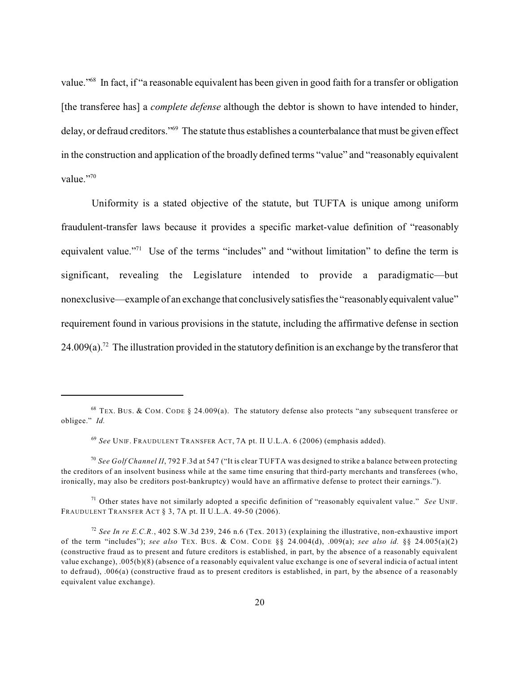value."<sup>68</sup> In fact, if "a reasonable equivalent has been given in good faith for a transfer or obligation [the transferee has] a *complete defense* although the debtor is shown to have intended to hinder, delay, or defraud creditors."<sup>69</sup> The statute thus establishes a counterbalance that must be given effect in the construction and application of the broadly defined terms "value" and "reasonably equivalent value."70

Uniformity is a stated objective of the statute, but TUFTA is unique among uniform fraudulent-transfer laws because it provides a specific market-value definition of "reasonably equivalent value."<sup> $71$ </sup> Use of the terms "includes" and "without limitation" to define the term is significant, revealing the Legislature intended to provide a paradigmatic—but nonexclusive—example of an exchange that conclusivelysatisfies the "reasonablyequivalent value" requirement found in various provisions in the statute, including the affirmative defense in section 24.009(a).<sup>72</sup> The illustration provided in the statutory definition is an exchange by the transferor that

 $68$  TEX. BUS. & COM. CODE § 24.009(a). The statutory defense also protects "any subsequent transferee or obligee." *Id.*

<sup>&</sup>lt;sup>69</sup> See UNIF. FRAUDULENT TRANSFER ACT, 7A pt. II U.L.A. 6 (2006) (emphasis added).

*See Golf Channel II*, 792 F.3d at 547 ("It is clear TUFTA was designed to strike a balance between protecting 70 the creditors of an insolvent business while at the same time ensuring that third-party merchants and transferees (who, ironically, may also be creditors post-bankruptcy) would have an affirmative defense to protect their earnings.").

<sup>&</sup>lt;sup>71</sup> Other states have not similarly adopted a specific definition of "reasonably equivalent value." *See* UNIF. FRAUDULENT TRANSFER ACT § 3, 7A pt. II U.L.A. 49-50 (2006).

*See In re E.C.R.*, 402 S.W.3d 239, 246 n.6 (Tex. 2013) (explaining the illustrative, non-exhaustive import 72 of the term "includes"); *see also* TEX. BUS. & COM. CODE §§ 24.004(d), .009(a); *see also id.* §§ 24.005(a)(2) (constructive fraud as to present and future creditors is established, in part, by the absence of a reasonably equivalent value exchange), .005(b)(8) (absence of a reasonably equivalent value exchange is one of several indicia of actual intent to defraud), .006(a) (constructive fraud as to present creditors is established, in part, by the absence of a reasonably equivalent value exchange).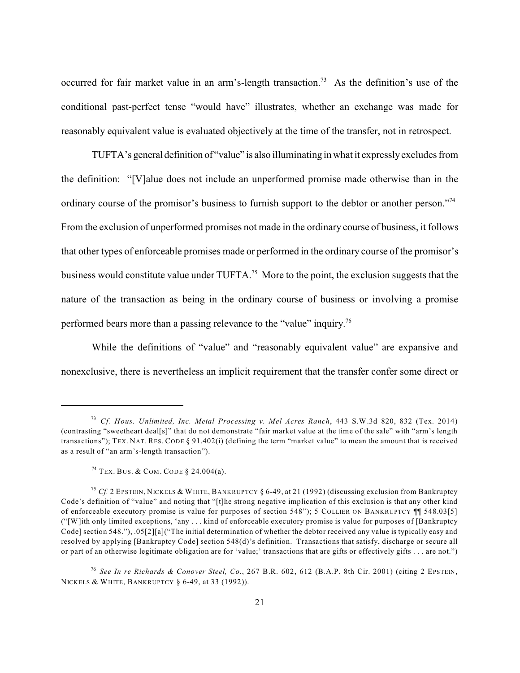occurred for fair market value in an arm's-length transaction.<sup>73</sup> As the definition's use of the conditional past-perfect tense "would have" illustrates, whether an exchange was made for reasonably equivalent value is evaluated objectively at the time of the transfer, not in retrospect.

TUFTA's general definition of "value" is also illuminating in what it expresslyexcludes from the definition: "[V]alue does not include an unperformed promise made otherwise than in the ordinary course of the promisor's business to furnish support to the debtor or another person."<sup>74</sup> From the exclusion of unperformed promises not made in the ordinary course of business, it follows that other types of enforceable promises made or performed in the ordinary course of the promisor's business would constitute value under TUFTA.<sup>75</sup> More to the point, the exclusion suggests that the nature of the transaction as being in the ordinary course of business or involving a promise performed bears more than a passing relevance to the "value" inquiry.<sup>76</sup>

While the definitions of "value" and "reasonably equivalent value" are expansive and nonexclusive, there is nevertheless an implicit requirement that the transfer confer some direct or

*Cf. Hous. Unlimited, Inc. Metal Processing v. Mel Acres Ranch*, 443 S.W.3d 820, 832 (Tex. 2014) 73 (contrasting "sweetheart deal[s]" that do not demonstrate "fair market value at the time of the sale" with "arm's length transactions"); TEX. NAT. RES. CODE § 91.402(i) (defining the term "market value" to mean the amount that is received as a result of "an arm's-length transaction").

 $74$  Tex. Bus. & COM. CODE § 24.004(a).

<sup>&</sup>lt;sup>75</sup> Cf. 2 EPSTEIN, NICKELS & WHITE, BANKRUPTCY § 6-49, at 21 (1992) (discussing exclusion from Bankruptcy Code's definition of "value" and noting that "[t]he strong negative implication of this exclusion is that any other kind of enforceable executory promise is value for purposes of section 548"); 5 COLLIER ON BANKRUPTCY ¶¶ 548.03[5] ("[W]ith only limited exceptions, 'any . . . kind of enforceable executory promise is value for purposes of [Bankruptcy Code] section 548."), .05[2][a]("The initial determination of whether the debtor received any value is typically easy and resolved by applying [Bankruptcy Code] section 548(d)'s definition. Transactions that satisfy, discharge or secure all or part of an otherwise legitimate obligation are for 'value;' transactions that are gifts or effectively gifts . . . are not.")

*See In re Richards & Conover Steel, Co.*, 267 B.R. 602, 612 (B.A.P. 8th Cir. 2001) (citing 2 EPSTEIN, 76 NICKELS & WHITE, BANKRUPTCY § 6-49, at 33 (1992)).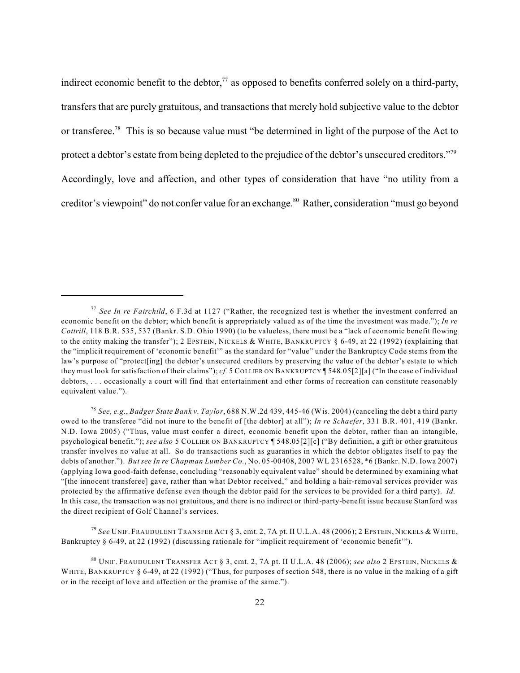indirect economic benefit to the debtor, $\frac{7}{7}$  as opposed to benefits conferred solely on a third-party, transfers that are purely gratuitous, and transactions that merely hold subjective value to the debtor or transferee.<sup>78</sup> This is so because value must "be determined in light of the purpose of the Act to protect a debtor's estate from being depleted to the prejudice of the debtor's unsecured creditors."<sup>79</sup> Accordingly, love and affection, and other types of consideration that have "no utility from a creditor's viewpoint" do not confer value for an exchange.<sup>80</sup> Rather, consideration "must go beyond

<sup>79</sup> See Unif. Fraudulent Transfer Act § 3, cmt. 2, 7A pt. II U.L.A. 48 (2006); 2 Epstein, Nickels & White, Bankruptcy § 6-49, at 22 (1992) (discussing rationale for "implicit requirement of 'economic benefit'").

*See In re Fairchild*, 6 F.3d at 1127 ("Rather, the recognized test is whether the investment conferred an 77 economic benefit on the debtor; which benefit is appropriately valued as of the time the investment was made."); *In re Cottrill*, 118 B.R. 535, 537 (Bankr. S.D. Ohio 1990) (to be valueless, there must be a "lack of economic benefit flowing to the entity making the transfer"); 2 EPSTEIN, NICKELS & WHITE, BANKRUPTCY § 6-49, at 22 (1992) (explaining that the "implicit requirement of 'economic benefit'" as the standard for "value" under the Bankruptcy Code stems from the law's purpose of "protect[ing] the debtor's unsecured creditors by preserving the value of the debtor's estate to which they must look for satisfaction of their claims"); *cf.* 5 COLLIER ON BANKRUPTCY ¶ 548.05[2][a] ("In the case of individual debtors, . . . occasionally a court will find that entertainment and other forms of recreation can constitute reasonably equivalent value.").

*See, e.g.*, *Badger State Bank v. Taylor*, 688 N.W.2d 439, 445-46 (Wis. 2004) (canceling the debt a third party 78 owed to the transferee "did not inure to the benefit of [the debtor] at all"); *In re Schaefer*, 331 B.R. 401, 419 (Bankr. N.D. Iowa 2005) ("Thus, value must confer a direct, economic benefit upon the debtor, rather than an intangible, psychological benefit."); *see also* 5 COLLIER ON BANKRUPTCY ¶ 548.05[2][c] ("By definition, a gift or other gratuitous transfer involves no value at all. So do transactions such as guaranties in which the debtor obligates itself to pay the debts of another."). *But see In re Chapman Lumber Co.*, No. 05-00408, 2007 WL 2316528, \*6 (Bankr. N.D. Iowa 2007) (applying Iowa good-faith defense, concluding "reasonably equivalent value" should be determined by examining what "[the innocent transferee] gave, rather than what Debtor received," and holding a hair-removal services provider was protected by the affirmative defense even though the debtor paid for the services to be provided for a third party). *Id.* In this case, the transaction was not gratuitous, and there is no indirect or third-party-benefit issue because Stanford was the direct recipient of Golf Channel's services.

UNIF. FRAUDULENT TRANSFER ACT § 3, cmt. 2, 7A pt. II U.L.A. 48 (2006); *see also* 2 EPSTEIN, NICKELS & 80 WHITE, BANKRUPTCY § 6-49, at 22 (1992) ("Thus, for purposes of section 548, there is no value in the making of a gift or in the receipt of love and affection or the promise of the same.").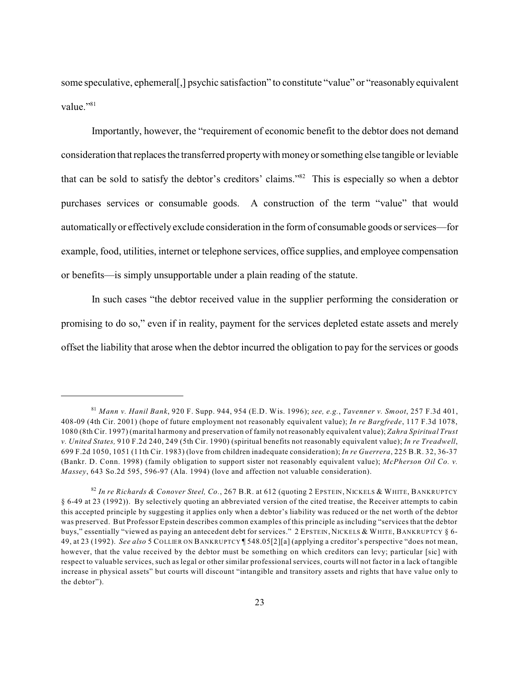some speculative, ephemeral[,] psychic satisfaction" to constitute "value" or "reasonably equivalent value."<sup>81</sup>

Importantly, however, the "requirement of economic benefit to the debtor does not demand consideration that replacesthe transferred propertywith moneyor something else tangible or leviable that can be sold to satisfy the debtor's creditors' claims."<sup>82</sup> This is especially so when a debtor purchases services or consumable goods. A construction of the term "value" that would automatically or effectivelyexclude consideration in the form of consumable goods or services—for example, food, utilities, internet or telephone services, office supplies, and employee compensation or benefits—is simply unsupportable under a plain reading of the statute.

In such cases "the debtor received value in the supplier performing the consideration or promising to do so," even if in reality, payment for the services depleted estate assets and merely offset the liability that arose when the debtor incurred the obligation to pay for the services or goods

*Mann v. Hanil Bank*, 920 F. Supp. 944, 954 (E.D. Wis. 1996); *see, e.g.*, *Tavenner v. Smoot*, 257 F.3d 401, 81 408-09 (4th Cir. 2001) (hope of future employment not reasonably equivalent value); *In re Bargfrede*, 117 F.3d 1078, 1080 (8th Cir. 1997) (marital harmony and preservation of family not reasonably equivalent value); *Zahra Spiritual Trust v. United States,* 910 F.2d 240, 249 (5th Cir. 1990) (spiritual benefits not reasonably equivalent value); *In re Treadwell*, 699 F.2d 1050, 1051 (11th Cir. 1983) (love from children inadequate consideration); *In re Guerrera*, 225 B.R. 32, 36-37 (Bankr. D. Conn. 1998) (family obligation to support sister not reasonably equivalent value); *McPherson Oil Co. v. Massey*, 643 So.2d 595, 596-97 (Ala. 1994) (love and affection not valuable consideration).

*In re Richards & Conover Steel, Co.*, 267 B.R. at 612 (quoting 2 EPSTEIN, NICKELS & WHITE, BANKRUPTCY 82 § 6-49 at 23 (1992)). By selectively quoting an abbreviated version of the cited treatise, the Receiver attempts to cabin this accepted principle by suggesting it applies only when a debtor's liability was reduced or the net worth of the debtor was preserved. But Professor Epstein describes common examples of this principle as including "services that the debtor buys," essentially "viewed as paying an antecedent debt for services." 2 EPSTEIN, NICKELS & WHITE, BANKRUPTCY § 6- 49, at 23 (1992). *See also* 5 COLLIER ON BANKRUPTCY ¶ 548.05[2][a] (applying a creditor's perspective "does not mean, however, that the value received by the debtor must be something on which creditors can levy; particular [sic] with respect to valuable services, such as legal or other similar professional services, courts will not factor in a lack of tangible increase in physical assets" but courts will discount "intangible and transitory assets and rights that have value only to the debtor").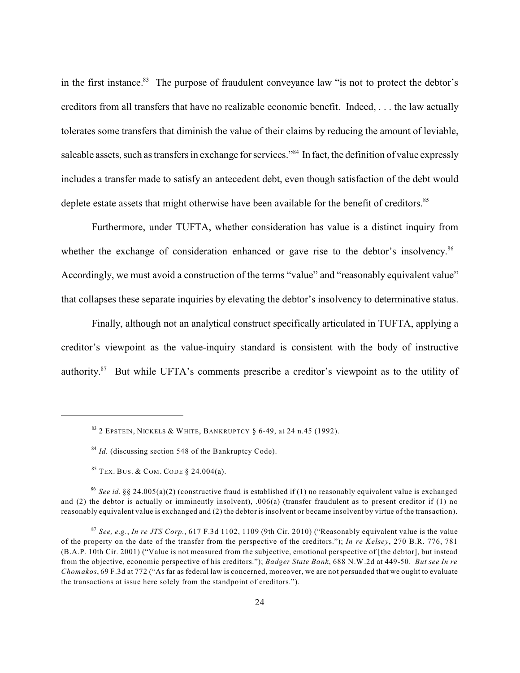in the first instance.<sup>83</sup> The purpose of fraudulent conveyance law "is not to protect the debtor's creditors from all transfers that have no realizable economic benefit. Indeed, . . . the law actually tolerates some transfers that diminish the value of their claims by reducing the amount of leviable, saleable assets, such as transfers in exchange for services."<sup>84</sup> In fact, the definition of value expressly includes a transfer made to satisfy an antecedent debt, even though satisfaction of the debt would deplete estate assets that might otherwise have been available for the benefit of creditors.<sup>85</sup>

Furthermore, under TUFTA, whether consideration has value is a distinct inquiry from whether the exchange of consideration enhanced or gave rise to the debtor's insolvency.<sup>86</sup> Accordingly, we must avoid a construction of the terms "value" and "reasonably equivalent value" that collapses these separate inquiries by elevating the debtor's insolvency to determinative status.

Finally, although not an analytical construct specifically articulated in TUFTA, applying a creditor's viewpoint as the value-inquiry standard is consistent with the body of instructive authority. $87$  But while UFTA's comments prescribe a creditor's viewpoint as to the utility of

<sup>85</sup> TEX. BUS. & COM. CODE § 24.004(a).

*See id.* §§ 24.005(a)(2) (constructive fraud is established if (1) no reasonably equivalent value is exchanged 86 and (2) the debtor is actually or imminently insolvent), .006(a) (transfer fraudulent as to present creditor if (1) no reasonably equivalent value is exchanged and (2) the debtor is insolvent or became insolvent by virtue of the transaction).

 $^{83}$  2 Epstein, Nickels & White, Bankruptcy § 6-49, at 24 n.45 (1992).

<sup>&</sup>lt;sup>84</sup> Id. (discussing section 548 of the Bankruptcy Code).

*See, e.g.*, *In re JTS Corp.*, 617 F.3d 1102, 1109 (9th Cir. 2010) ("Reasonably equivalent value is the value 87 of the property on the date of the transfer from the perspective of the creditors."); *In re Kelsey*, 270 B.R. 776, 781 (B.A.P. 10th Cir. 2001) ("Value is not measured from the subjective, emotional perspective of [the debtor], but instead from the objective, economic perspective of his creditors."); *Badger State Bank*, 688 N.W.2d at 449-50. *But see In re Chomakos*, 69 F.3d at 772 ("As far as federal law is concerned, moreover, we are not persuaded that we ought to evaluate the transactions at issue here solely from the standpoint of creditors.").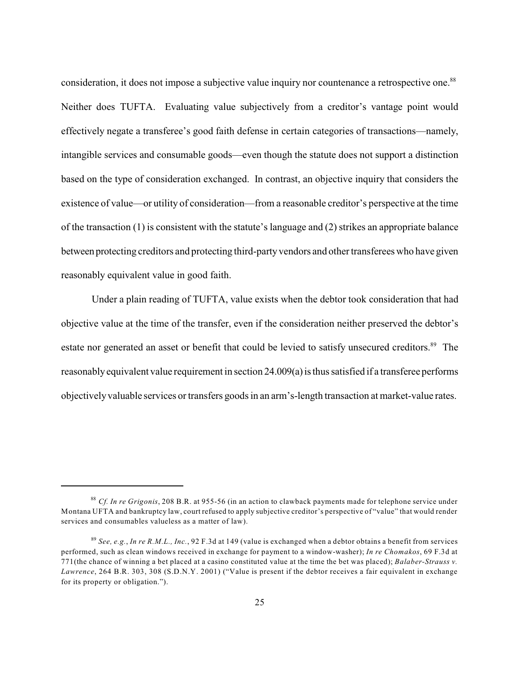consideration, it does not impose a subjective value inquiry nor countenance a retrospective one.<sup>88</sup> Neither does TUFTA. Evaluating value subjectively from a creditor's vantage point would effectively negate a transferee's good faith defense in certain categories of transactions—namely, intangible services and consumable goods—even though the statute does not support a distinction based on the type of consideration exchanged. In contrast, an objective inquiry that considers the existence of value—or utility of consideration—from a reasonable creditor's perspective at the time of the transaction (1) is consistent with the statute's language and (2) strikes an appropriate balance between protecting creditors and protecting third-partyvendors and other transferees who have given reasonably equivalent value in good faith.

Under a plain reading of TUFTA, value exists when the debtor took consideration that had objective value at the time of the transfer, even if the consideration neither preserved the debtor's estate nor generated an asset or benefit that could be levied to satisfy unsecured creditors.<sup>89</sup> The reasonably equivalent value requirement in section 24.009(a) is thus satisfied if a transferee performs objectively valuable services or transfers goods in an arm's-length transaction at market-value rates.

*Cf. In re Grigonis*, 208 B.R. at 955-56 (in an action to clawback payments made for telephone service under 88 Montana UFTA and bankruptcy law, court refused to apply subjective creditor's perspective of "value" that would render services and consumables valueless as a matter of law).

*See, e.g.*, *In re R.M.L., Inc.*, 92 F.3d at 149 (value is exchanged when a debtor obtains a benefit from services 89 performed, such as clean windows received in exchange for payment to a window-washer); *In re Chomakos*, 69 F.3d at 771(the chance of winning a bet placed at a casino constituted value at the time the bet was placed); *Balaber-Strauss v. Lawrence*, 264 B.R. 303, 308 (S.D.N.Y. 2001) ("Value is present if the debtor receives a fair equivalent in exchange for its property or obligation.").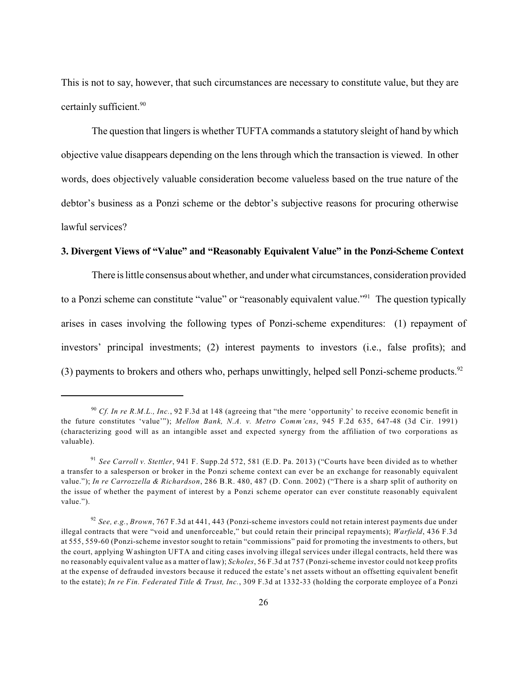This is not to say, however, that such circumstances are necessary to constitute value, but they are certainly sufficient.<sup>90</sup>

The question that lingers is whether TUFTA commands a statutory sleight of hand by which objective value disappears depending on the lens through which the transaction is viewed. In other words, does objectively valuable consideration become valueless based on the true nature of the debtor's business as a Ponzi scheme or the debtor's subjective reasons for procuring otherwise lawful services?

#### **3. Divergent Views of "Value" and "Reasonably Equivalent Value" in the Ponzi-Scheme Context**

There is little consensus about whether, and under what circumstances, consideration provided to a Ponzi scheme can constitute "value" or "reasonably equivalent value."<sup>91</sup> The question typically arises in cases involving the following types of Ponzi-scheme expenditures: (1) repayment of investors' principal investments; (2) interest payments to investors (i.e., false profits); and (3) payments to brokers and others who, perhaps unwittingly, helped sell Ponzi-scheme products.<sup>92</sup>

<sup>&</sup>lt;sup>90</sup> Cf. In re R.M.L., Inc., 92 F.3d at 148 (agreeing that "the mere 'opportunity' to receive economic benefit in the future constitutes 'value'"); *Mellon Bank, N.A. v. Metro Comm'cns*, 945 F.2d 635, 647-48 (3d Cir. 1991) (characterizing good will as an intangible asset and expected synergy from the affiliation of two corporations as valuable).

<sup>&</sup>lt;sup>91</sup> See Carroll v. Stettler, 941 F. Supp.2d 572, 581 (E.D. Pa. 2013) ("Courts have been divided as to whether a transfer to a salesperson or broker in the Ponzi scheme context can ever be an exchange for reasonably equivalent value."); *In re Carrozzella & Richardson*, 286 B.R. 480, 487 (D. Conn. 2002) ("There is a sharp split of authority on the issue of whether the payment of interest by a Ponzi scheme operator can ever constitute reasonably equivalent value.").

*See, e.g.*, *Brown*, 767 F.3d at 441, 443 (Ponzi-scheme investors could not retain interest payments due under 92 illegal contracts that were "void and unenforceable," but could retain their principal repayments); *Warfield*, 436 F.3d at 555, 559-60 (Ponzi-scheme investor sought to retain "commissions" paid for promoting the investments to others, but the court, applying Washington UFTA and citing cases involving illegal services under illegal contracts, held there was no reasonably equivalent value as a matter of law); *Scholes*, 56 F.3d at 757 (Ponzi-scheme investor could not keep profits at the expense of defrauded investors because it reduced the estate's net assets without an offsetting equivalent benefit to the estate); *In re Fin. Federated Title & Trust, Inc.*, 309 F.3d at 1332-33 (holding the corporate employee of a Ponzi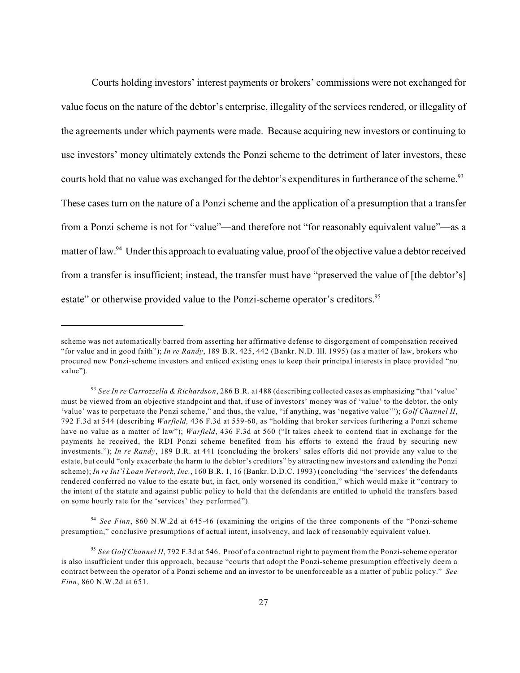Courts holding investors' interest payments or brokers' commissions were not exchanged for value focus on the nature of the debtor's enterprise, illegality of the services rendered, or illegality of the agreements under which payments were made. Because acquiring new investors or continuing to use investors' money ultimately extends the Ponzi scheme to the detriment of later investors, these courts hold that no value was exchanged for the debtor's expenditures in furtherance of the scheme.<sup>93</sup> These cases turn on the nature of a Ponzi scheme and the application of a presumption that a transfer from a Ponzi scheme is not for "value"—and therefore not "for reasonably equivalent value"—as a matter of law.<sup>94</sup> Under this approach to evaluating value, proof of the objective value a debtor received from a transfer is insufficient; instead, the transfer must have "preserved the value of [the debtor's] estate" or otherwise provided value to the Ponzi-scheme operator's creditors.<sup>95</sup>

scheme was not automatically barred from asserting her affirmative defense to disgorgement of compensation received "for value and in good faith"); *In re Randy*, 189 B.R. 425, 442 (Bankr. N.D. Ill. 1995) (as a matter of law, brokers who procured new Ponzi-scheme investors and enticed existing ones to keep their principal interests in place provided "no value").

*See In re Carrozzella & Richardson*, 286 B.R. at 488 (describing collected cases as emphasizing "that 'value' 93 must be viewed from an objective standpoint and that, if use of investors' money was of 'value' to the debtor, the only 'value' was to perpetuate the Ponzi scheme," and thus, the value, "if anything, was 'negative value'"); *Golf Channel II*, 792 F.3d at 544 (describing *Warfield,* 436 F.3d at 559-60, as "holding that broker services furthering a Ponzi scheme have no value as a matter of law"); *Warfield*, 436 F.3d at 560 ("It takes cheek to contend that in exchange for the payments he received, the RDI Ponzi scheme benefited from his efforts to extend the fraud by securing new investments."); *In re Randy*, 189 B.R. at 441 (concluding the brokers' sales efforts did not provide any value to the estate, but could "only exacerbate the harm to the debtor's creditors" by attracting new investors and extending the Ponzi scheme); *In re Int'l Loan Network, Inc.*, 160 B.R. 1, 16 (Bankr. D.D.C. 1993) (concluding "the 'services' the defendants rendered conferred no value to the estate but, in fact, only worsened its condition," which would make it "contrary to the intent of the statute and against public policy to hold that the defendants are entitled to uphold the transfers based on some hourly rate for the 'services' they performed").

*See Finn*, 860 N.W.2d at 645-46 (examining the origins of the three components of the "Ponzi-scheme 94 presumption," conclusive presumptions of actual intent, insolvency, and lack of reasonably equivalent value).

*See Golf Channel II*, 792 F.3d at 546. Proof of a contractual right to payment from the Ponzi-scheme operator 95 is also insufficient under this approach, because "courts that adopt the Ponzi-scheme presumption effectively deem a contract between the operator of a Ponzi scheme and an investor to be unenforceable as a matter of public policy." *See Finn*, 860 N.W.2d at 651.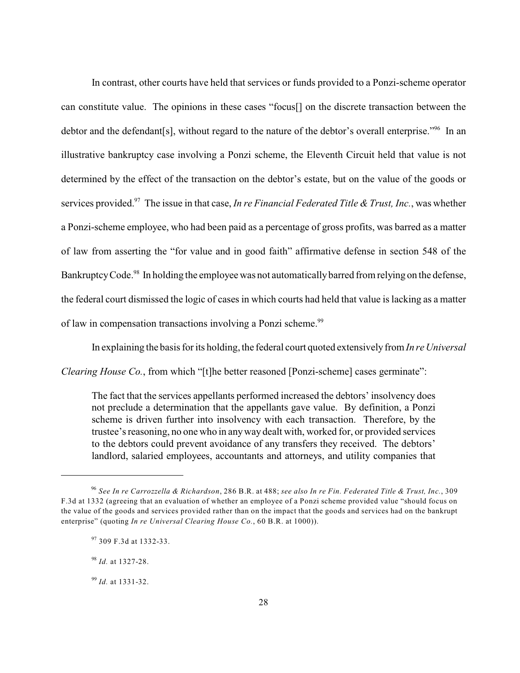In contrast, other courts have held that services or funds provided to a Ponzi-scheme operator can constitute value. The opinions in these cases "focus[] on the discrete transaction between the debtor and the defendant[s], without regard to the nature of the debtor's overall enterprise."<sup>96</sup> In an illustrative bankruptcy case involving a Ponzi scheme, the Eleventh Circuit held that value is not determined by the effect of the transaction on the debtor's estate, but on the value of the goods or services provided.<sup>97</sup> The issue in that case, *In re Financial Federated Title & Trust, Inc.*, was whether a Ponzi-scheme employee, who had been paid as a percentage of gross profits, was barred as a matter of law from asserting the "for value and in good faith" affirmative defense in section 548 of the Bankruptcy Code.<sup>98</sup> In holding the employee was not automatically barred from relying on the defense, the federal court dismissed the logic of cases in which courts had held that value is lacking as a matter of law in compensation transactions involving a Ponzi scheme.<sup>99</sup>

In explaining the basis for its holding, the federal court quoted extensively from *In re Universal*

*Clearing House Co.*, from which "[t]he better reasoned [Ponzi-scheme] cases germinate":

The fact that the services appellants performed increased the debtors' insolvency does not preclude a determination that the appellants gave value. By definition, a Ponzi scheme is driven further into insolvency with each transaction. Therefore, by the trustee's reasoning, no one who in anyway dealt with, worked for, or provided services to the debtors could prevent avoidance of any transfers they received. The debtors' landlord, salaried employees, accountants and attorneys, and utility companies that

*See In re Carrozzella & Richardson*, 286 B.R. at 488; *see also In re Fin. Federated Title & Trust, Inc.*, 309 96 F.3d at 1332 (agreeing that an evaluation of whether an employee of a Ponzi scheme provided value "should focus on the value of the goods and services provided rather than on the impact that the goods and services had on the bankrupt enterprise" (quoting *In re Universal Clearing House Co.*, 60 B.R. at 1000)).

<sup>&</sup>lt;sup>97</sup> 309 F.3d at 1332-33.

<sup>&</sup>lt;sup>98</sup> Id. at 1327-28.

*Id.* at 1331-32. 99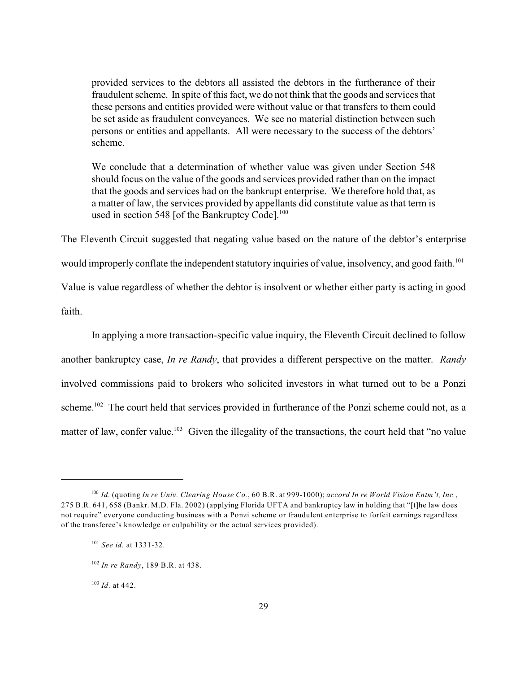provided services to the debtors all assisted the debtors in the furtherance of their fraudulent scheme. In spite of this fact, we do not think that the goods and services that these persons and entities provided were without value or that transfers to them could be set aside as fraudulent conveyances. We see no material distinction between such persons or entities and appellants. All were necessary to the success of the debtors' scheme.

We conclude that a determination of whether value was given under Section 548 should focus on the value of the goods and services provided rather than on the impact that the goods and services had on the bankrupt enterprise. We therefore hold that, as a matter of law, the services provided by appellants did constitute value as that term is used in section 548 [of the Bankruptcy Code].<sup>100</sup>

The Eleventh Circuit suggested that negating value based on the nature of the debtor's enterprise would improperly conflate the independent statutory inquiries of value, insolvency, and good faith.<sup>101</sup> Value is value regardless of whether the debtor is insolvent or whether either party is acting in good

faith.

In applying a more transaction-specific value inquiry, the Eleventh Circuit declined to follow another bankruptcy case, *In re Randy*, that provides a different perspective on the matter. *Randy* involved commissions paid to brokers who solicited investors in what turned out to be a Ponzi scheme.<sup>102</sup> The court held that services provided in furtherance of the Ponzi scheme could not, as a matter of law, confer value.<sup>103</sup> Given the illegality of the transactions, the court held that "no value

<sup>103</sup> *Id.* at 442.

*Id.* (quoting *In re Univ. Clearing House Co.*, 60 B.R. at 999-1000); *accord In re World Vision Entm't, Inc.*, 100 275 B.R. 641, 658 (Bankr. M.D. Fla. 2002) (applying Florida UFTA and bankruptcy law in holding that "[t]he law does not require" everyone conducting business with a Ponzi scheme or fraudulent enterprise to forfeit earnings regardless of the transferee's knowledge or culpability or the actual services provided).

<sup>&</sup>lt;sup>101</sup> See id. at 1331-32.

<sup>&</sup>lt;sup>102</sup> In re Randy, 189 B.R. at 438.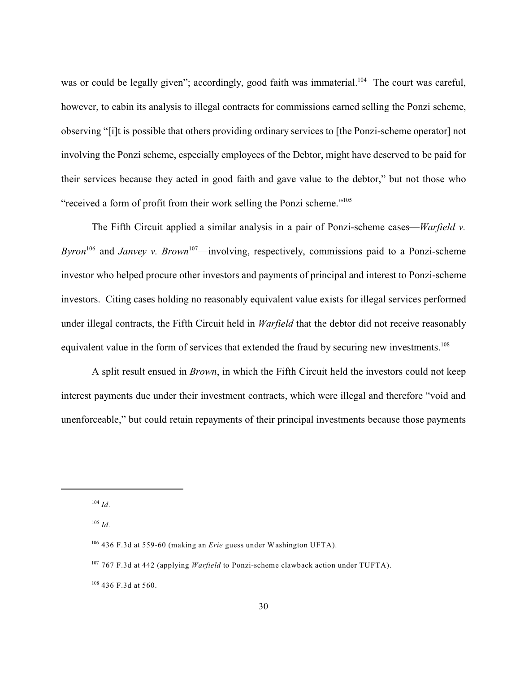was or could be legally given"; accordingly, good faith was immaterial.<sup>104</sup> The court was careful, however, to cabin its analysis to illegal contracts for commissions earned selling the Ponzi scheme, observing "[i]t is possible that others providing ordinary services to [the Ponzi-scheme operator] not involving the Ponzi scheme, especially employees of the Debtor, might have deserved to be paid for their services because they acted in good faith and gave value to the debtor," but not those who "received a form of profit from their work selling the Ponzi scheme."<sup>105</sup>

The Fifth Circuit applied a similar analysis in a pair of Ponzi-scheme cases—*Warfield v. Byron*<sup>106</sup> and *Janvey v. Brown*<sup>107</sup>—involving, respectively, commissions paid to a Ponzi-scheme investor who helped procure other investors and payments of principal and interest to Ponzi-scheme investors. Citing cases holding no reasonably equivalent value exists for illegal services performed under illegal contracts, the Fifth Circuit held in *Warfield* that the debtor did not receive reasonably equivalent value in the form of services that extended the fraud by securing new investments.<sup>108</sup>

A split result ensued in *Brown*, in which the Fifth Circuit held the investors could not keep interest payments due under their investment contracts, which were illegal and therefore "void and unenforceable," but could retain repayments of their principal investments because those payments

 $^{104}$  *Id.* 

*Id.* 105

<sup>&</sup>lt;sup>106</sup> 436 F.3d at 559-60 (making an *Erie* guess under Washington UFTA).

<sup>&</sup>lt;sup>107</sup> 767 F.3d at 442 (applying *Warfield* to Ponzi-scheme clawback action under TUFTA).

<sup>436</sup> F.3d at 560. 108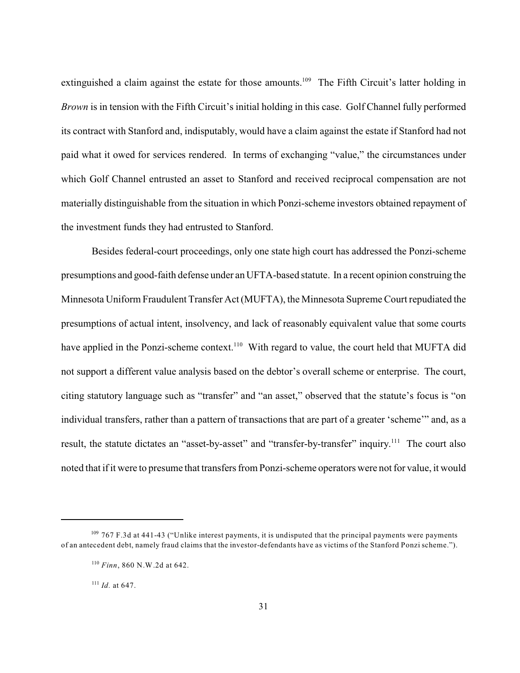extinguished a claim against the estate for those amounts.<sup>109</sup> The Fifth Circuit's latter holding in *Brown* is in tension with the Fifth Circuit's initial holding in this case. Golf Channel fully performed its contract with Stanford and, indisputably, would have a claim against the estate if Stanford had not paid what it owed for services rendered. In terms of exchanging "value," the circumstances under which Golf Channel entrusted an asset to Stanford and received reciprocal compensation are not materially distinguishable from the situation in which Ponzi-scheme investors obtained repayment of the investment funds they had entrusted to Stanford.

Besides federal-court proceedings, only one state high court has addressed the Ponzi-scheme presumptions and good-faith defense under an UFTA-based statute. In a recent opinion construing the Minnesota Uniform Fraudulent Transfer Act (MUFTA), the Minnesota Supreme Court repudiated the presumptions of actual intent, insolvency, and lack of reasonably equivalent value that some courts have applied in the Ponzi-scheme context.<sup>110</sup> With regard to value, the court held that MUFTA did not support a different value analysis based on the debtor's overall scheme or enterprise. The court, citing statutory language such as "transfer" and "an asset," observed that the statute's focus is "on individual transfers, rather than a pattern of transactions that are part of a greater 'scheme'" and, as a result, the statute dictates an "asset-by-asset" and "transfer-by-transfer" inquiry.<sup>111</sup> The court also noted that if it were to presume that transfers from Ponzi-scheme operators were not for value, it would

 $^{111}$  *Id.* at 647.

<sup>&</sup>lt;sup>109</sup> 767 F.3d at 441-43 ("Unlike interest payments, it is undisputed that the principal payments were payments of an antecedent debt, namely fraud claims that the investor-defendants have as victims of the Stanford Ponzi scheme.").

<sup>&</sup>lt;sup>110</sup> Finn, 860 N.W.2d at 642.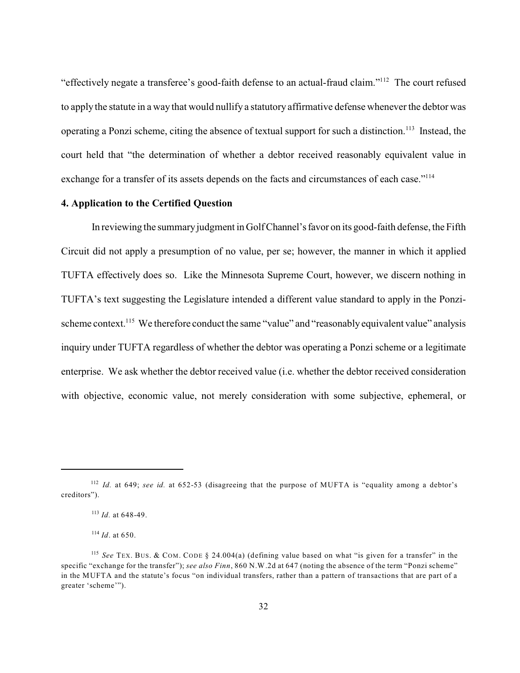"effectively negate a transferee's good-faith defense to an actual-fraud claim."<sup>112</sup> The court refused to apply the statute in a way that would nullify a statutory affirmative defense whenever the debtor was operating a Ponzi scheme, citing the absence of textual support for such a distinction.<sup>113</sup> Instead, the court held that "the determination of whether a debtor received reasonably equivalent value in exchange for a transfer of its assets depends on the facts and circumstances of each case."<sup>114</sup>

## **4. Application to the Certified Question**

In reviewing the summary judgment in Golf Channel's favor on its good-faith defense, the Fifth Circuit did not apply a presumption of no value, per se; however, the manner in which it applied TUFTA effectively does so. Like the Minnesota Supreme Court, however, we discern nothing in TUFTA's text suggesting the Legislature intended a different value standard to apply in the Ponzischeme context.<sup>115</sup> We therefore conduct the same "value" and "reasonably equivalent value" analysis inquiry under TUFTA regardless of whether the debtor was operating a Ponzi scheme or a legitimate enterprise. We ask whether the debtor received value (i.e. whether the debtor received consideration with objective, economic value, not merely consideration with some subjective, ephemeral, or

<sup>&</sup>lt;sup>112</sup> Id. at 649; see id. at 652-53 (disagreeing that the purpose of MUFTA is "equality among a debtor's creditors").

 $^{113}$  *Id.* at 648-49.

 $^{114}$  *Id*. at 650.

<sup>&</sup>lt;sup>115</sup> See TEX. BUS. & COM. CODE § 24.004(a) (defining value based on what "is given for a transfer" in the specific "exchange for the transfer"); *see also Finn*, 860 N.W.2d at 647 (noting the absence of the term "Ponzi scheme" in the MUFTA and the statute's focus "on individual transfers, rather than a pattern of transactions that are part of a greater 'scheme'").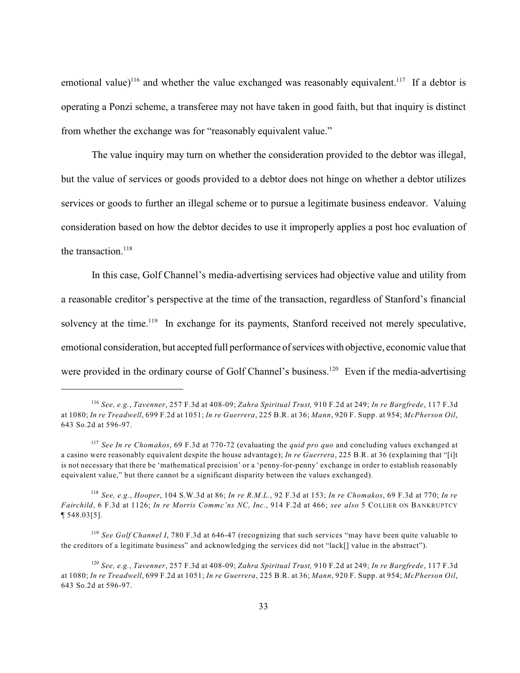emotional value)<sup>116</sup> and whether the value exchanged was reasonably equivalent.<sup>117</sup> If a debtor is operating a Ponzi scheme, a transferee may not have taken in good faith, but that inquiry is distinct from whether the exchange was for "reasonably equivalent value."

The value inquiry may turn on whether the consideration provided to the debtor was illegal, but the value of services or goods provided to a debtor does not hinge on whether a debtor utilizes services or goods to further an illegal scheme or to pursue a legitimate business endeavor. Valuing consideration based on how the debtor decides to use it improperly applies a post hoc evaluation of the transaction.<sup>118</sup>

In this case, Golf Channel's media-advertising services had objective value and utility from a reasonable creditor's perspective at the time of the transaction, regardless of Stanford's financial solvency at the time.<sup>119</sup> In exchange for its payments, Stanford received not merely speculative, emotional consideration, but accepted full performance of serviceswith objective, economic value that were provided in the ordinary course of Golf Channel's business.<sup>120</sup> Even if the media-advertising

*See, e.g.*, *Tavenner*, 257 F.3d at 408-09; *Zahra Spiritual Trust,* 910 F.2d at 249; *In re Bargfrede*, 117 F.3d 116 at 1080; *In re Treadwell*, 699 F.2d at 1051; *In re Guerrera*, 225 B.R. at 36; *Mann*, 920 F. Supp. at 954; *McPherson Oil*, 643 So.2d at 596-97.

*See In re Chomakos*, 69 F.3d at 770-72 (evaluating the *quid pro quo* and concluding values exchanged at 117 a casino were reasonably equivalent despite the house advantage); *In re Guerrera*, 225 B.R. at 36 (explaining that "[i]t is not necessary that there be 'mathematical precision' or a 'penny-for-penny' exchange in order to establish reasonably equivalent value," but there cannot be a significant disparity between the values exchanged).

*See, e.g.*, *Hooper*, 104 S.W.3d at 86; *In re R.M.L.*, 92 F.3d at 153; *In re Chomakos*, 69 F.3d at 770; *In re* 118 *Fairchild*, 6 F.3d at 1126; *In re Morris Commc'ns NC, Inc.*, 914 F.2d at 466; *see also* 5 COLLIER ON BANKRUPTCY ¶ 548.03[5].

<sup>&</sup>lt;sup>119</sup> See Golf Channel I, 780 F.3d at 646-47 (recognizing that such services "may have been quite valuable to the creditors of a legitimate business" and acknowledging the services did not "lack[] value in the abstract").

*See, e.g.*, *Tavenner*, 257 F.3d at 408-09; *Zahra Spiritual Trust,* 910 F.2d at 249; *In re Bargfrede*, 117 F.3d 120 at 1080; *In re Treadwell*, 699 F.2d at 1051; *In re Guerrera*, 225 B.R. at 36; *Mann*, 920 F. Supp. at 954; *McPherson Oil*, 643 So.2d at 596-97.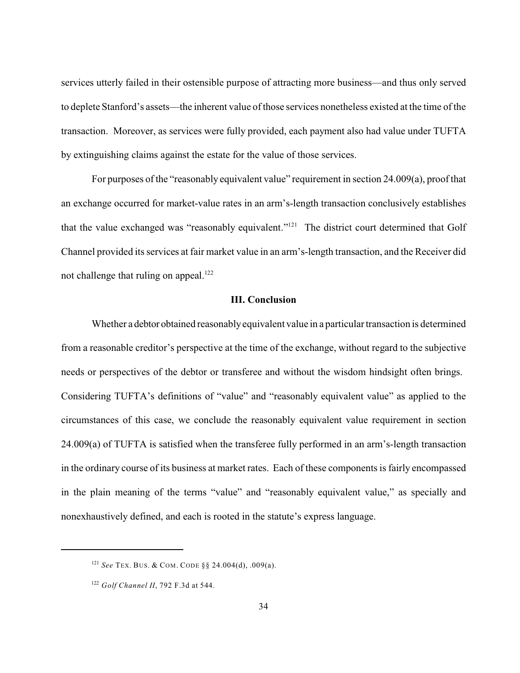services utterly failed in their ostensible purpose of attracting more business—and thus only served to deplete Stanford's assets—the inherent value of those services nonetheless existed at the time of the transaction. Moreover, as services were fully provided, each payment also had value under TUFTA by extinguishing claims against the estate for the value of those services.

For purposes of the "reasonably equivalent value" requirement in section 24.009(a), proof that an exchange occurred for market-value rates in an arm's-length transaction conclusively establishes that the value exchanged was "reasonably equivalent."<sup>121</sup> The district court determined that Golf Channel provided its services at fair market value in an arm's-length transaction, and the Receiver did not challenge that ruling on appeal.<sup>122</sup>

#### **III. Conclusion**

Whether a debtor obtained reasonablyequivalent value in a particular transaction is determined from a reasonable creditor's perspective at the time of the exchange, without regard to the subjective needs or perspectives of the debtor or transferee and without the wisdom hindsight often brings. Considering TUFTA's definitions of "value" and "reasonably equivalent value" as applied to the circumstances of this case, we conclude the reasonably equivalent value requirement in section 24.009(a) of TUFTA is satisfied when the transferee fully performed in an arm's-length transaction in the ordinary course of its business at market rates. Each of these components is fairly encompassed in the plain meaning of the terms "value" and "reasonably equivalent value," as specially and nonexhaustively defined, and each is rooted in the statute's express language.

<sup>&</sup>lt;sup>121</sup> See TEX. BUS. & COM. CODE § § 24.004(d), .009(a).

<sup>&</sup>lt;sup>122</sup> Golf Channel II, 792 F.3d at 544.